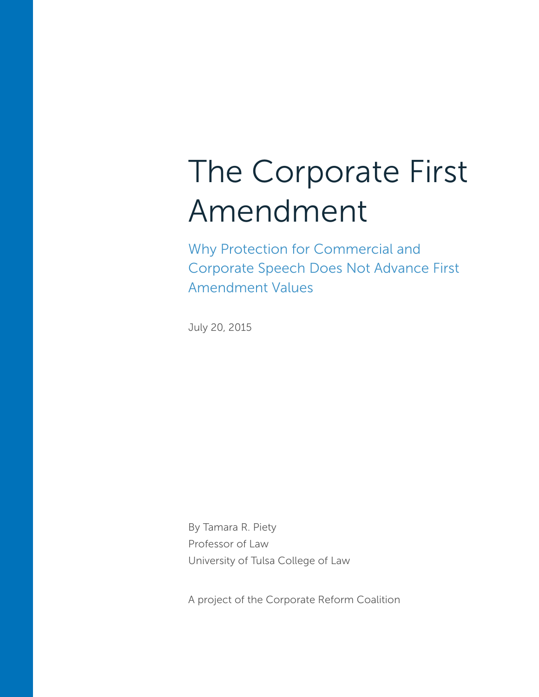# The Corporate First Amendment

Why Protection for Commercial and Corporate Speech Does Not Advance First Amendment Values

July 20, 2015

By Tamara R. Piety Professor of Law University of Tulsa College of Law

A project of the Corporate Reform Coalition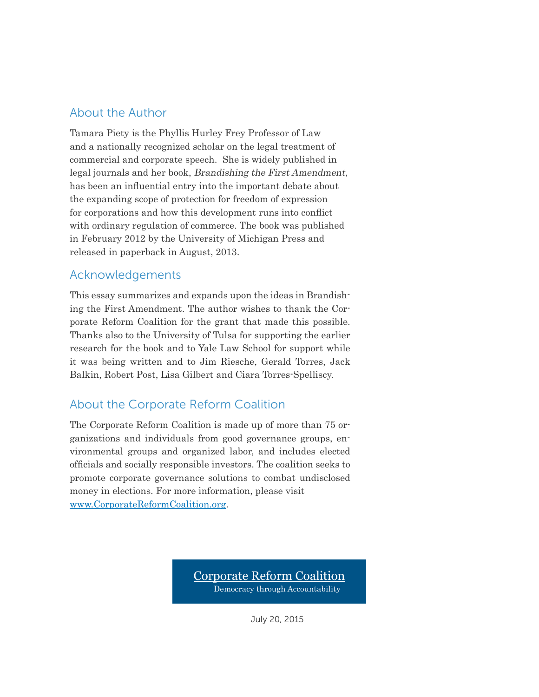### About the Author

Tamara Piety is the Phyllis Hurley Frey Professor of Law and a nationally recognized scholar on the legal treatment of commercial and corporate speech. She is widely published in legal journals and her book, Brandishing the First Amendment, has been an influential entry into the important debate about the expanding scope of protection for freedom of expression for corporations and how this development runs into conflict with ordinary regulation of commerce. The book was published in February 2012 by the University of Michigan Press and released in paperback in August, 2013.

### Acknowledgements

This essay summarizes and expands upon the ideas in Brandishing the First Amendment. The author wishes to thank the Corporate Reform Coalition for the grant that made this possible. Thanks also to the University of Tulsa for supporting the earlier research for the book and to Yale Law School for support while it was being written and to Jim Riesche, Gerald Torres, Jack Balkin, Robert Post, Lisa Gilbert and Ciara Torres-Spelliscy.

### About the Corporate Reform Coalition

The Corporate Reform Coalition is made up of more than 75 organizations and individuals from good governance groups, environmental groups and organized labor, and includes elected officials and socially responsible investors. The coalition seeks to promote corporate governance solutions to combat undisclosed money in elections. For more information, please visit www.CorporateReformCoalition.org.

> Corporate Reform Coalition Democracy through Accountability

> > July 20, 2015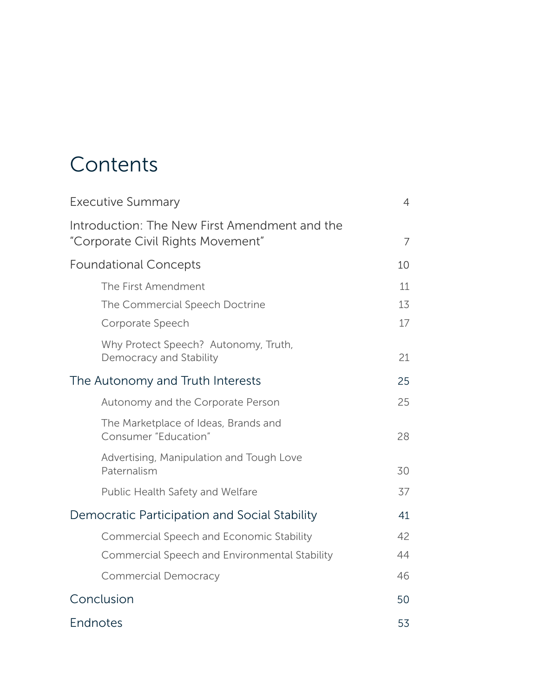# **Contents**

| <b>Executive Summary</b>                                                           | $\overline{4}$ |
|------------------------------------------------------------------------------------|----------------|
| Introduction: The New First Amendment and the<br>"Corporate Civil Rights Movement" | 7              |
| <b>Foundational Concepts</b>                                                       | 10             |
| The First Amendment                                                                | 11             |
| The Commercial Speech Doctrine                                                     | 13             |
| Corporate Speech                                                                   | 17             |
| Why Protect Speech? Autonomy, Truth,<br>Democracy and Stability                    | 21             |
| The Autonomy and Truth Interests                                                   | 25             |
| Autonomy and the Corporate Person                                                  | 25             |
| The Marketplace of Ideas, Brands and<br>Consumer "Education"                       | 28             |
| Advertising, Manipulation and Tough Love<br>Paternalism                            | 30             |
| Public Health Safety and Welfare                                                   | 37             |
| Democratic Participation and Social Stability                                      | 41             |
| Commercial Speech and Economic Stability                                           | 42             |
| Commercial Speech and Environmental Stability                                      | 44             |
| <b>Commercial Democracy</b>                                                        | 46             |
| Conclusion                                                                         | 50             |
| Endnotes                                                                           | 53             |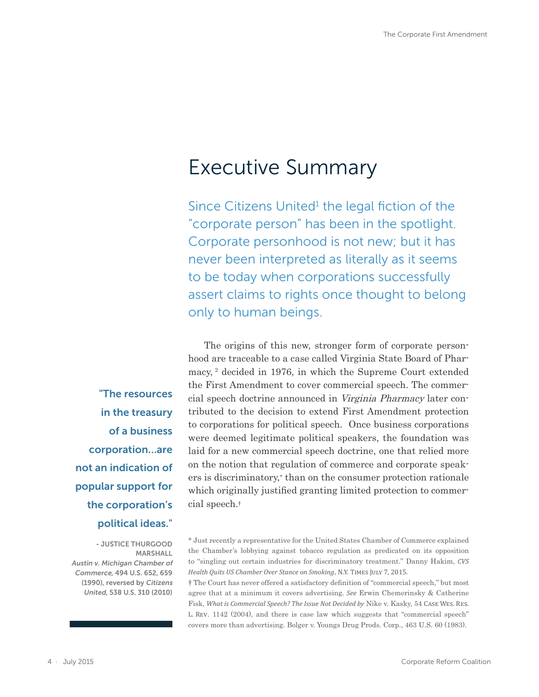### <span id="page-3-0"></span>Executive Summary

Since Citizens United<sup>1</sup> the legal fiction of the "corporate person" has been in the spotlight. Corporate personhood is not new; but it has never been interpreted as literally as it seems to be today when corporations successfully assert claims to rights once thought to belong only to human beings.

The origins of this new, stronger form of corporate personhood are traceable to a case called Virginia State Board of Pharmacy, 2 decided in 1976, in which the Supreme Court extended the First Amendment to cover commercial speech. The commercial speech doctrine announced in Virginia Pharmacy later contributed to the decision to extend First Amendment protection to corporations for political speech. Once business corporations were deemed legitimate political speakers, the foundation was laid for a new commercial speech doctrine, one that relied more on the notion that regulation of commerce and corporate speakers is discriminatory,\* than on the consumer protection rationale which originally justified granting limited protection to commercial speech.†

† The Court has never offered a satisfactory definition of "commercial speech," but most agree that at a minimum it covers advertising. *See* Erwin Chemerinsky & Catherine Fisk, *What is Commercial Speech? The Issue Not Decided by* Nike v. Kasky, 54 Case Wes. Res. L. Rev. 1142 (2004), and there is case law which suggests that "commercial speech" covers more than advertising. Bolger v. Youngs Drug Prods. Corp., 463 U.S. 60 (1983).

"The resources in the treasury of a business corporation…are not an indication of popular support for the corporation's political ideas."

- JUSTICE THURGOOD MARSHALL Austin v. Michigan Chamber of Commerce, 494 U.S. 652, 659 (1990), reversed by Citizens United, 538 U.S. 310 (2010)

<sup>\*</sup> Just recently a representative for the United States Chamber of Commerce explained the Chamber's lobbying against tobacco regulation as predicated on its opposition to "singling out certain industries for discriminatory treatment." Danny Hakim, *CVS Health Quits US Chamber Over Stance on Smoking*, N.Y. Times July 7, 2015.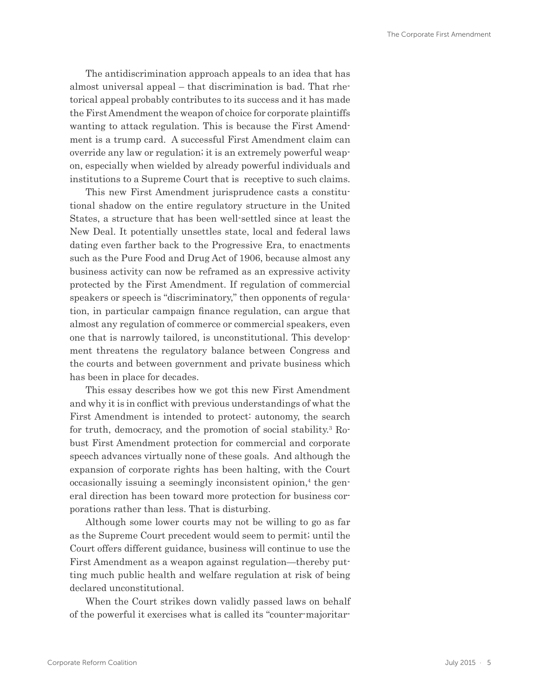The antidiscrimination approach appeals to an idea that has almost universal appeal – that discrimination is bad. That rhetorical appeal probably contributes to its success and it has made the First Amendment the weapon of choice for corporate plaintiffs wanting to attack regulation. This is because the First Amendment is a trump card. A successful First Amendment claim can override any law or regulation; it is an extremely powerful weapon, especially when wielded by already powerful individuals and institutions to a Supreme Court that is receptive to such claims.

This new First Amendment jurisprudence casts a constitutional shadow on the entire regulatory structure in the United States, a structure that has been well-settled since at least the New Deal. It potentially unsettles state, local and federal laws dating even farther back to the Progressive Era, to enactments such as the Pure Food and Drug Act of 1906, because almost any business activity can now be reframed as an expressive activity protected by the First Amendment. If regulation of commercial speakers or speech is "discriminatory," then opponents of regulation, in particular campaign finance regulation, can argue that almost any regulation of commerce or commercial speakers, even one that is narrowly tailored, is unconstitutional. This development threatens the regulatory balance between Congress and the courts and between government and private business which has been in place for decades.

This essay describes how we got this new First Amendment and why it is in conflict with previous understandings of what the First Amendment is intended to protect: autonomy, the search for truth, democracy, and the promotion of social stability.<sup>3</sup> Robust First Amendment protection for commercial and corporate speech advances virtually none of these goals. And although the expansion of corporate rights has been halting, with the Court occasionally issuing a seemingly inconsistent opinion,<sup>4</sup> the general direction has been toward more protection for business corporations rather than less. That is disturbing.

Although some lower courts may not be willing to go as far as the Supreme Court precedent would seem to permit; until the Court offers different guidance, business will continue to use the First Amendment as a weapon against regulation—thereby putting much public health and welfare regulation at risk of being declared unconstitutional.

When the Court strikes down validly passed laws on behalf of the powerful it exercises what is called its "counter-majoritar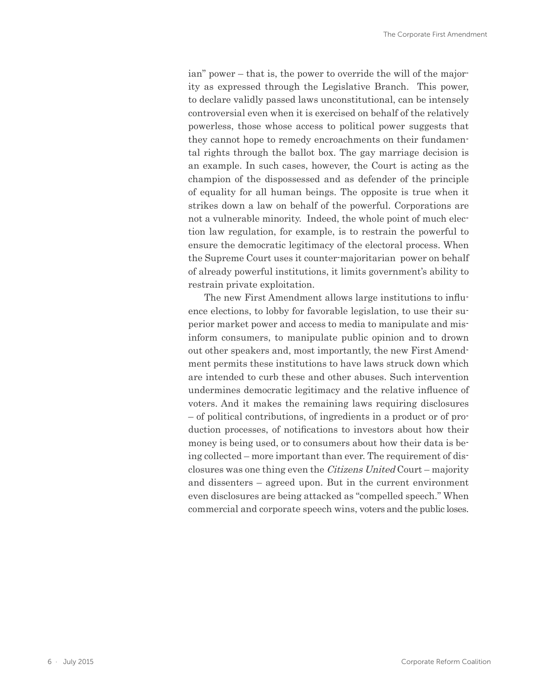ian" power – that is, the power to override the will of the majority as expressed through the Legislative Branch. This power, to declare validly passed laws unconstitutional, can be intensely controversial even when it is exercised on behalf of the relatively powerless, those whose access to political power suggests that they cannot hope to remedy encroachments on their fundamental rights through the ballot box. The gay marriage decision is an example. In such cases, however, the Court is acting as the champion of the dispossessed and as defender of the principle of equality for all human beings. The opposite is true when it strikes down a law on behalf of the powerful. Corporations are not a vulnerable minority. Indeed, the whole point of much election law regulation, for example, is to restrain the powerful to ensure the democratic legitimacy of the electoral process. When the Supreme Court uses it counter-majoritarian power on behalf of already powerful institutions, it limits government's ability to restrain private exploitation.

The new First Amendment allows large institutions to influence elections, to lobby for favorable legislation, to use their superior market power and access to media to manipulate and misinform consumers, to manipulate public opinion and to drown out other speakers and, most importantly, the new First Amendment permits these institutions to have laws struck down which are intended to curb these and other abuses. Such intervention undermines democratic legitimacy and the relative influence of voters. And it makes the remaining laws requiring disclosures – of political contributions, of ingredients in a product or of production processes, of notifications to investors about how their money is being used, or to consumers about how their data is being collected – more important than ever. The requirement of disclosures was one thing even the Citizens United Court – majority and dissenters – agreed upon. But in the current environment even disclosures are being attacked as "compelled speech." When commercial and corporate speech wins, voters and the public loses.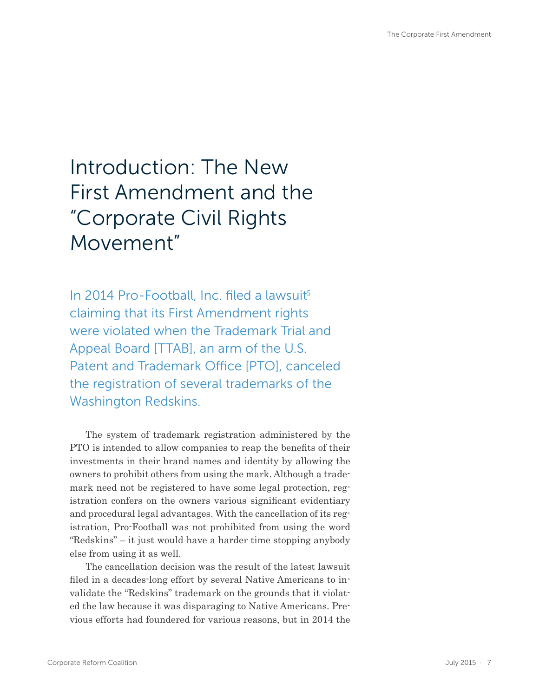# <span id="page-6-0"></span>Introduction: The New First Amendment and the "Corporate Civil Rights Movement"

In 2014 Pro-Football, Inc. filed a lawsuit<sup>5</sup> claiming that its First Amendment rights were violated when the Trademark Trial and Appeal Board [TTAB], an arm of the U.S. Patent and Trademark Office [PTO], canceled the registration of several trademarks of the Washington Redskins.

The system of trademark registration administered by the PTO is intended to allow companies to reap the benefits of their investments in their brand names and identity by allowing the owners to prohibit others from using the mark. Although a trademark need not be registered to have some legal protection, registration confers on the owners various significant evidentiary and procedural legal advantages. With the cancellation of its registration, Pro-Football was not prohibited from using the word "Redskins" – it just would have a harder time stopping anybody else from using it as well.

The cancellation decision was the result of the latest lawsuit filed in a decades-long effort by several Native Americans to invalidate the "Redskins" trademark on the grounds that it violated the law because it was disparaging to Native Americans. Previous efforts had foundered for various reasons, but in 2014 the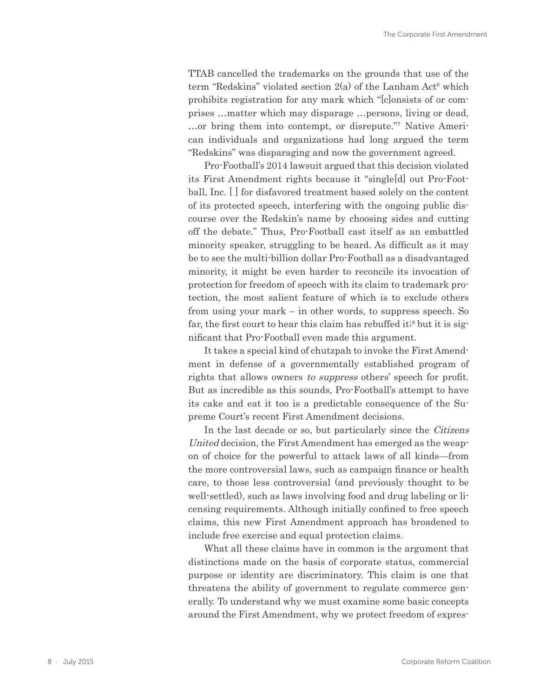TTAB cancelled the trademarks on the grounds that use of the term "Redskins" violated section 2(a) of the Lanham Act<sup>6</sup> which prohibits registration for any mark which "[c]onsists of or comprises …matter which may disparage …persons, living or dead, ...or bring them into contempt, or disrepute."<sup>7</sup> Native American individuals and organizations had long argued the term "Redskins" was disparaging and now the government agreed.

Pro-Football's 2014 lawsuit argued that this decision violated its First Amendment rights because it "single[d] out Pro-Football, Inc. [ ] for disfavored treatment based solely on the content of its protected speech, interfering with the ongoing public discourse over the Redskin's name by choosing sides and cutting off the debate." Thus, Pro-Football cast itself as an embattled minority speaker, struggling to be heard. As difficult as it may be to see the multi-billion dollar Pro-Football as a disadvantaged minority, it might be even harder to reconcile its invocation of protection for freedom of speech with its claim to trademark protection, the most salient feature of which is to exclude others from using your mark – in other words, to suppress speech. So far, the first court to hear this claim has rebuffed it;<sup>8</sup> but it is significant that Pro-Football even made this argument.

It takes a special kind of chutzpah to invoke the First Amendment in defense of a governmentally established program of rights that allows owners to suppress others' speech for profit. But as incredible as this sounds, Pro-Football's attempt to have its cake and eat it too is a predictable consequence of the Supreme Court's recent First Amendment decisions.

In the last decade or so, but particularly since the Citizens United decision, the First Amendment has emerged as the weapon of choice for the powerful to attack laws of all kinds—from the more controversial laws, such as campaign finance or health care, to those less controversial (and previously thought to be well-settled), such as laws involving food and drug labeling or licensing requirements. Although initially confined to free speech claims, this new First Amendment approach has broadened to include free exercise and equal protection claims.

What all these claims have in common is the argument that distinctions made on the basis of corporate status, commercial purpose or identity are discriminatory. This claim is one that threatens the ability of government to regulate commerce generally. To understand why we must examine some basic concepts around the First Amendment, why we protect freedom of expres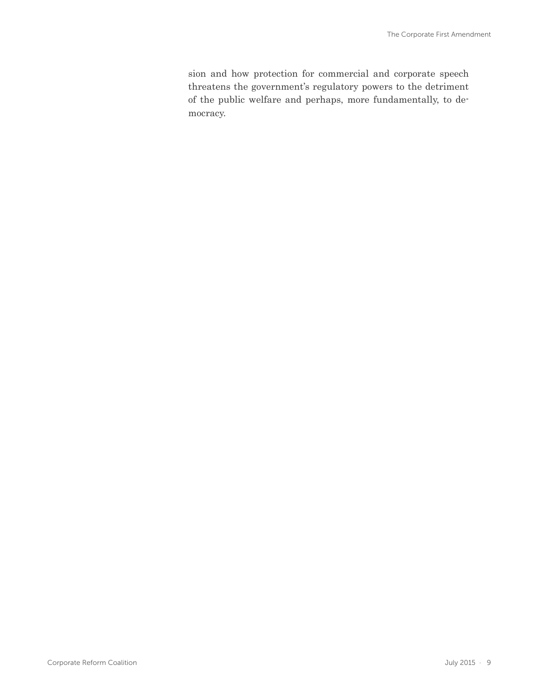sion and how protection for commercial and corporate speech threatens the government's regulatory powers to the detriment of the public welfare and perhaps, more fundamentally, to democracy.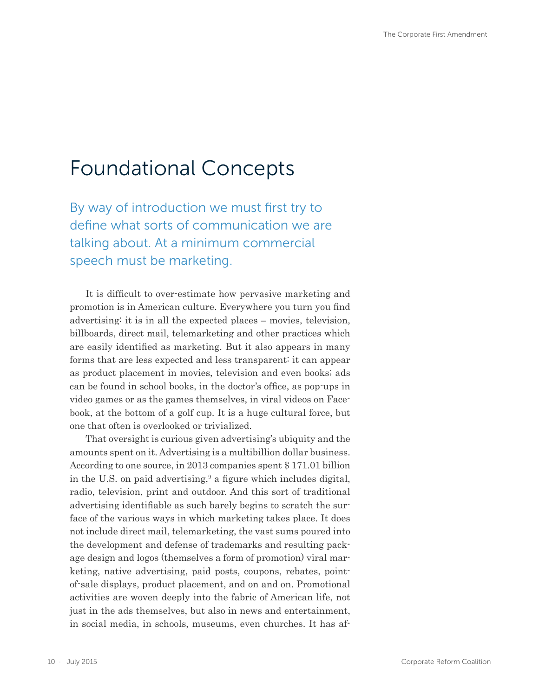## <span id="page-9-0"></span>Foundational Concepts

By way of introduction we must first try to define what sorts of communication we are talking about. At a minimum commercial speech must be marketing.

It is difficult to over-estimate how pervasive marketing and promotion is in American culture. Everywhere you turn you find advertising: it is in all the expected places – movies, television, billboards, direct mail, telemarketing and other practices which are easily identified as marketing. But it also appears in many forms that are less expected and less transparent: it can appear as product placement in movies, television and even books; ads can be found in school books, in the doctor's office, as pop-ups in video games or as the games themselves, in viral videos on Facebook, at the bottom of a golf cup. It is a huge cultural force, but one that often is overlooked or trivialized.

That oversight is curious given advertising's ubiquity and the amounts spent on it. Advertising is a multibillion dollar business. According to one source, in 2013 companies spent \$ 171.01 billion in the U.S. on paid advertising,<sup>9</sup> a figure which includes digital, radio, television, print and outdoor. And this sort of traditional advertising identifiable as such barely begins to scratch the surface of the various ways in which marketing takes place. It does not include direct mail, telemarketing, the vast sums poured into the development and defense of trademarks and resulting package design and logos (themselves a form of promotion) viral marketing, native advertising, paid posts, coupons, rebates, pointof-sale displays, product placement, and on and on. Promotional activities are woven deeply into the fabric of American life, not just in the ads themselves, but also in news and entertainment, in social media, in schools, museums, even churches. It has af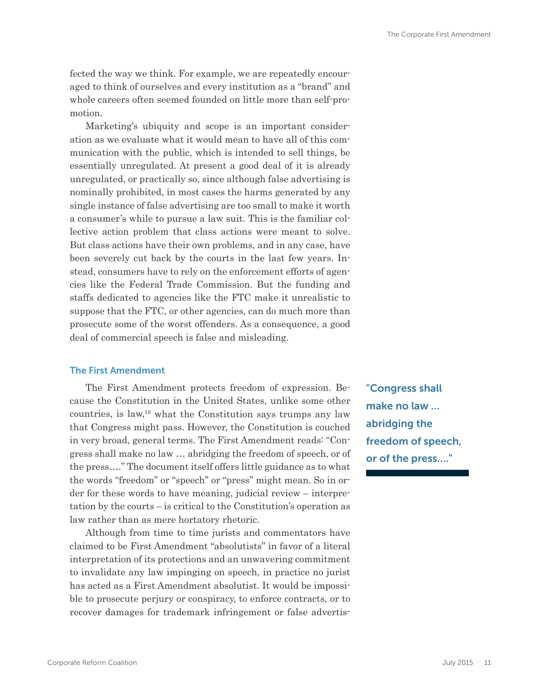<span id="page-10-0"></span>fected the way we think. For example, we are repeatedly encouraged to think of ourselves and every institution as a "brand" and whole careers often seemed founded on little more than self-promotion.

Marketing's ubiquity and scope is an important consideration as we evaluate what it would mean to have all of this communication with the public, which is intended to sell things, be essentially unregulated. At present a good deal of it is already unregulated, or practically so, since although false advertising is nominally prohibited, in most cases the harms generated by any single instance of false advertising are too small to make it worth a consumer's while to pursue a law suit. This is the familiar collective action problem that class actions were meant to solve. But class actions have their own problems, and in any case, have been severely cut back by the courts in the last few years. Instead, consumers have to rely on the enforcement efforts of agencies like the Federal Trade Commission. But the funding and staffs dedicated to agencies like the FTC make it unrealistic to suppose that the FTC, or other agencies, can do much more than prosecute some of the worst offenders. As a consequence, a good deal of commercial speech is false and misleading.

#### The First Amendment

The First Amendment protects freedom of expression. Because the Constitution in the United States, unlike some other countries, is law, $10$  what the Constitution says trumps any law that Congress might pass. However, the Constitution is couched in very broad, general terms. The First Amendment reads: "Congress shall make no law … abridging the freedom of speech, or of the press…." The document itself offers little guidance as to what the words "freedom" or "speech" or "press" might mean. So in order for these words to have meaning, judicial review – interpretation by the courts – is critical to the Constitution's operation as law rather than as mere hortatory rhetoric.

Although from time to time jurists and commentators have claimed to be First Amendment "absolutists" in favor of a literal interpretation of its protections and an unwavering commitment to invalidate any law impinging on speech, in practice no jurist has acted as a First Amendment absolutist. It would be impossible to prosecute perjury or conspiracy, to enforce contracts, or to recover damages for trademark infringement or false advertis"Congress shall make no law … abridging the freedom of speech, or of the press…."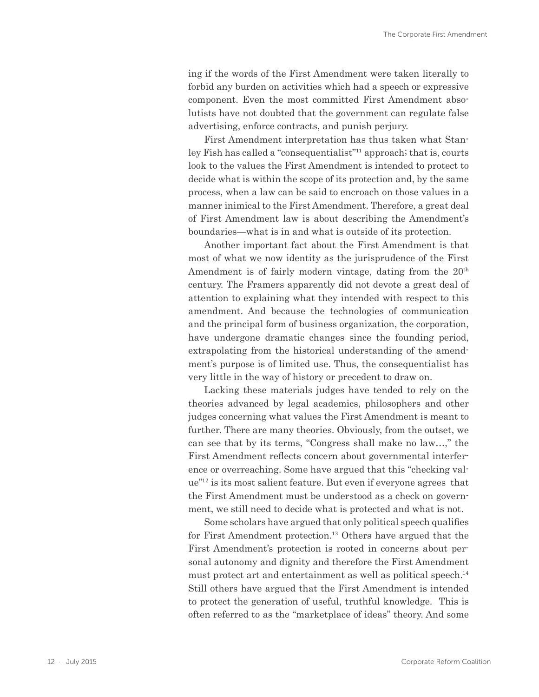ing if the words of the First Amendment were taken literally to forbid any burden on activities which had a speech or expressive component. Even the most committed First Amendment absolutists have not doubted that the government can regulate false advertising, enforce contracts, and punish perjury.

First Amendment interpretation has thus taken what Stanley Fish has called a "consequentialist"11 approach; that is, courts look to the values the First Amendment is intended to protect to decide what is within the scope of its protection and, by the same process, when a law can be said to encroach on those values in a manner inimical to the First Amendment. Therefore, a great deal of First Amendment law is about describing the Amendment's boundaries—what is in and what is outside of its protection.

Another important fact about the First Amendment is that most of what we now identity as the jurisprudence of the First Amendment is of fairly modern vintage, dating from the 20<sup>th</sup> century. The Framers apparently did not devote a great deal of attention to explaining what they intended with respect to this amendment. And because the technologies of communication and the principal form of business organization, the corporation, have undergone dramatic changes since the founding period, extrapolating from the historical understanding of the amendment's purpose is of limited use. Thus, the consequentialist has very little in the way of history or precedent to draw on.

Lacking these materials judges have tended to rely on the theories advanced by legal academics, philosophers and other judges concerning what values the First Amendment is meant to further. There are many theories. Obviously, from the outset, we can see that by its terms, "Congress shall make no law…," the First Amendment reflects concern about governmental interference or overreaching. Some have argued that this "checking value"12 is its most salient feature. But even if everyone agrees that the First Amendment must be understood as a check on government, we still need to decide what is protected and what is not.

Some scholars have argued that only political speech qualifies for First Amendment protection.<sup>13</sup> Others have argued that the First Amendment's protection is rooted in concerns about personal autonomy and dignity and therefore the First Amendment must protect art and entertainment as well as political speech.<sup>14</sup> Still others have argued that the First Amendment is intended to protect the generation of useful, truthful knowledge. This is often referred to as the "marketplace of ideas" theory. And some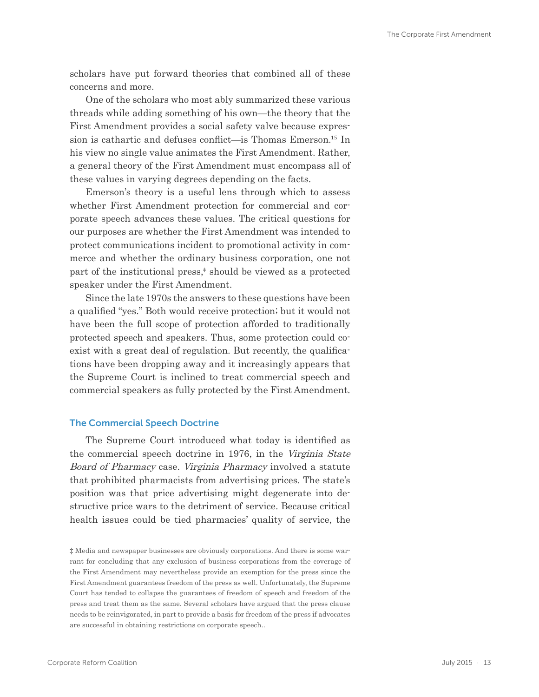<span id="page-12-0"></span>scholars have put forward theories that combined all of these concerns and more.

One of the scholars who most ably summarized these various threads while adding something of his own—the theory that the First Amendment provides a social safety valve because expression is cathartic and defuses conflict—is Thomas Emerson.15 In his view no single value animates the First Amendment. Rather, a general theory of the First Amendment must encompass all of these values in varying degrees depending on the facts.

Emerson's theory is a useful lens through which to assess whether First Amendment protection for commercial and corporate speech advances these values. The critical questions for our purposes are whether the First Amendment was intended to protect communications incident to promotional activity in commerce and whether the ordinary business corporation, one not part of the institutional press,‡ should be viewed as a protected speaker under the First Amendment.

Since the late 1970s the answers to these questions have been a qualified "yes." Both would receive protection; but it would not have been the full scope of protection afforded to traditionally protected speech and speakers. Thus, some protection could coexist with a great deal of regulation. But recently, the qualifications have been dropping away and it increasingly appears that the Supreme Court is inclined to treat commercial speech and commercial speakers as fully protected by the First Amendment.

#### The Commercial Speech Doctrine

The Supreme Court introduced what today is identified as the commercial speech doctrine in 1976, in the Virginia State Board of Pharmacy case. Virginia Pharmacy involved a statute that prohibited pharmacists from advertising prices. The state's position was that price advertising might degenerate into destructive price wars to the detriment of service. Because critical health issues could be tied pharmacies' quality of service, the

<sup>‡</sup> Media and newspaper businesses are obviously corporations. And there is some warrant for concluding that any exclusion of business corporations from the coverage of the First Amendment may nevertheless provide an exemption for the press since the First Amendment guarantees freedom of the press as well. Unfortunately, the Supreme Court has tended to collapse the guarantees of freedom of speech and freedom of the press and treat them as the same. Several scholars have argued that the press clause needs to be reinvigorated, in part to provide a basis for freedom of the press if advocates are successful in obtaining restrictions on corporate speech..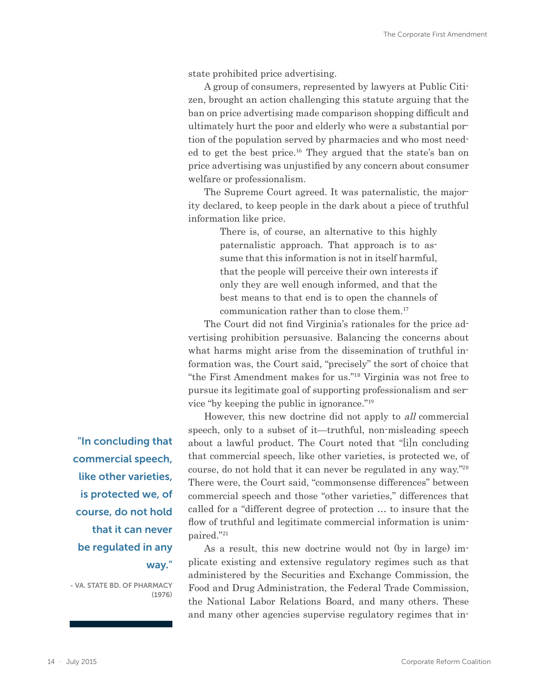state prohibited price advertising.

A group of consumers, represented by lawyers at Public Citizen, brought an action challenging this statute arguing that the ban on price advertising made comparison shopping difficult and ultimately hurt the poor and elderly who were a substantial portion of the population served by pharmacies and who most needed to get the best price.16 They argued that the state's ban on price advertising was unjustified by any concern about consumer welfare or professionalism.

The Supreme Court agreed. It was paternalistic, the majority declared, to keep people in the dark about a piece of truthful information like price.

> There is, of course, an alternative to this highly paternalistic approach. That approach is to assume that this information is not in itself harmful, that the people will perceive their own interests if only they are well enough informed, and that the best means to that end is to open the channels of communication rather than to close them.<sup>17</sup>

The Court did not find Virginia's rationales for the price advertising prohibition persuasive. Balancing the concerns about what harms might arise from the dissemination of truthful information was, the Court said, "precisely" the sort of choice that "the First Amendment makes for us."18 Virginia was not free to pursue its legitimate goal of supporting professionalism and service "by keeping the public in ignorance."<sup>19</sup>

However, this new doctrine did not apply to all commercial speech, only to a subset of it—truthful, non-misleading speech about a lawful product. The Court noted that "[i]n concluding that commercial speech, like other varieties, is protected we, of course, do not hold that it can never be regulated in any way."<sup>20</sup> There were, the Court said, "commonsense differences" between commercial speech and those "other varieties," differences that called for a "different degree of protection … to insure that the flow of truthful and legitimate commercial information is unimpaired."<sup>21</sup>

As a result, this new doctrine would not (by in large) implicate existing and extensive regulatory regimes such as that administered by the Securities and Exchange Commission, the Food and Drug Administration, the Federal Trade Commission, the National Labor Relations Board, and many others. These and many other agencies supervise regulatory regimes that in-

"In concluding that commercial speech, like other varieties, is protected we, of course, do not hold that it can never be regulated in any way."

- VA. STATE BD. OF PHARMACY (1976)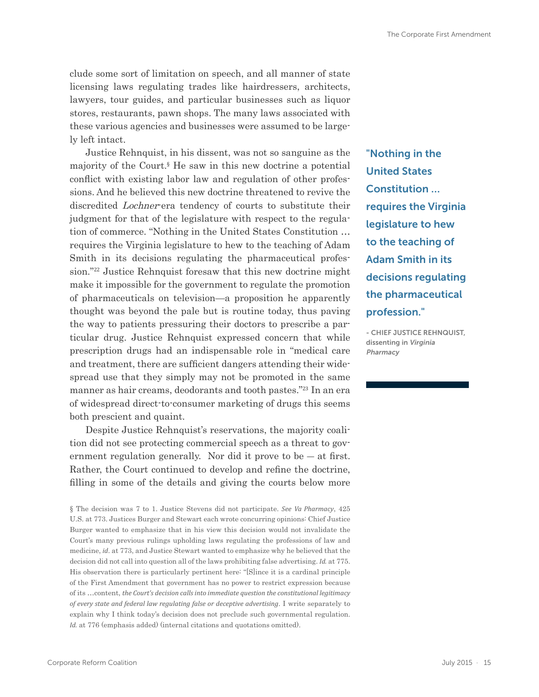clude some sort of limitation on speech, and all manner of state licensing laws regulating trades like hairdressers, architects, lawyers, tour guides, and particular businesses such as liquor stores, restaurants, pawn shops. The many laws associated with these various agencies and businesses were assumed to be largely left intact.

Justice Rehnquist, in his dissent, was not so sanguine as the majority of the Court.§ He saw in this new doctrine a potential conflict with existing labor law and regulation of other professions. And he believed this new doctrine threatened to revive the discredited *Lochner*-era tendency of courts to substitute their judgment for that of the legislature with respect to the regulation of commerce. "Nothing in the United States Constitution … requires the Virginia legislature to hew to the teaching of Adam Smith in its decisions regulating the pharmaceutical profession."22 Justice Rehnquist foresaw that this new doctrine might make it impossible for the government to regulate the promotion of pharmaceuticals on television—a proposition he apparently thought was beyond the pale but is routine today, thus paving the way to patients pressuring their doctors to prescribe a particular drug. Justice Rehnquist expressed concern that while prescription drugs had an indispensable role in "medical care and treatment, there are sufficient dangers attending their widespread use that they simply may not be promoted in the same manner as hair creams, deodorants and tooth pastes."23 In an era of widespread direct-to-consumer marketing of drugs this seems both prescient and quaint.

Despite Justice Rehnquist's reservations, the majority coalition did not see protecting commercial speech as a threat to government regulation generally. Nor did it prove to be  $-$  at first. Rather, the Court continued to develop and refine the doctrine, filling in some of the details and giving the courts below more

§ The decision was 7 to 1. Justice Stevens did not participate. *See Va Pharmacy*, 425 U.S. at 773. Justices Burger and Stewart each wrote concurring opinions: Chief Justice Burger wanted to emphasize that in his view this decision would not invalidate the Court's many previous rulings upholding laws regulating the professions of law and medicine, *id*. at 773, and Justice Stewart wanted to emphasize why he believed that the decision did not call into question all of the laws prohibiting false advertising. *Id.* at 775. His observation there is particularly pertinent here: "[S]ince it is a cardinal principle of the First Amendment that government has no power to restrict expression because of its …content, *the Court's decision calls into immediate question the constitutional legitimacy of every state and federal law regulating false or deceptive advertising*. I write separately to explain why I think today's decision does not preclude such governmental regulation. *Id.* at 776 (emphasis added) (internal citations and quotations omitted).

"Nothing in the United States Constitution … requires the Virginia legislature to hew to the teaching of Adam Smith in its decisions regulating the pharmaceutical profession."

- CHIEF JUSTICE REHNQUIST, dissenting in Virginia Pharmacy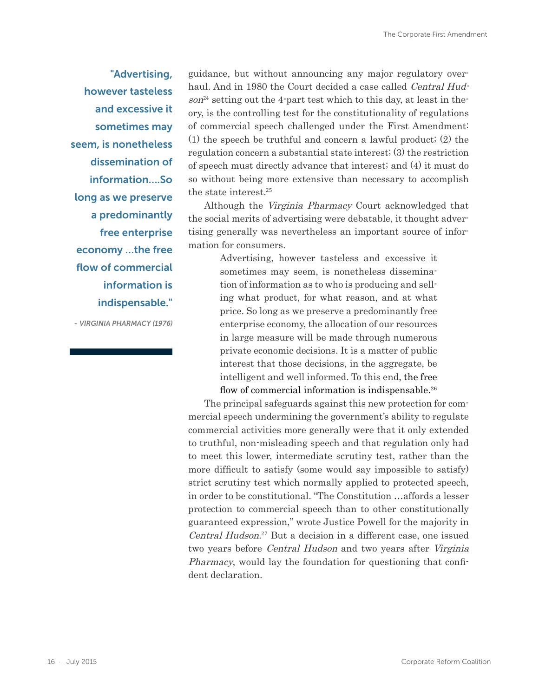<span id="page-15-0"></span>"Advertising, however tasteless and excessive it sometimes may seem, is nonetheless dissemination of information….So long as we preserve a predominantly free enterprise economy …the free flow of commercial information is indispensable."

- VIRGINIA PHARMACY (1976)

guidance, but without announcing any major regulatory overhaul. And in 1980 the Court decided a case called Central Hud $son<sup>24</sup>$  setting out the 4-part test which to this day, at least in theory, is the controlling test for the constitutionality of regulations of commercial speech challenged under the First Amendment: (1) the speech be truthful and concern a lawful product; (2) the regulation concern a substantial state interest; (3) the restriction of speech must directly advance that interest; and (4) it must do so without being more extensive than necessary to accomplish the state interest.<sup>25</sup>

Although the Virginia Pharmacy Court acknowledged that the social merits of advertising were debatable, it thought advertising generally was nevertheless an important source of information for consumers.

> Advertising, however tasteless and excessive it sometimes may seem, is nonetheless dissemination of information as to who is producing and selling what product, for what reason, and at what price. So long as we preserve a predominantly free enterprise economy, the allocation of our resources in large measure will be made through numerous private economic decisions. It is a matter of public interest that those decisions, in the aggregate, be intelligent and well informed. To this end, the free flow of commercial information is indispensable.<sup>26</sup>

The principal safeguards against this new protection for commercial speech undermining the government's ability to regulate commercial activities more generally were that it only extended to truthful, non-misleading speech and that regulation only had to meet this lower, intermediate scrutiny test, rather than the more difficult to satisfy (some would say impossible to satisfy) strict scrutiny test which normally applied to protected speech, in order to be constitutional. "The Constitution …affords a lesser protection to commercial speech than to other constitutionally guaranteed expression," wrote Justice Powell for the majority in Central Hudson. <sup>27</sup> But a decision in a different case, one issued two years before Central Hudson and two years after Virginia Pharmacy, would lay the foundation for questioning that confident declaration.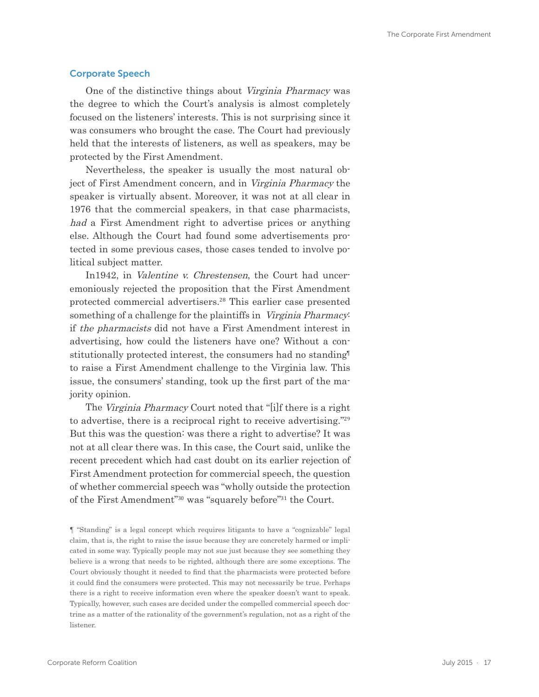#### Corporate Speech

One of the distinctive things about Virginia Pharmacy was the degree to which the Court's analysis is almost completely focused on the listeners' interests. This is not surprising since it was consumers who brought the case. The Court had previously held that the interests of listeners, as well as speakers, may be protected by the First Amendment.

Nevertheless, the speaker is usually the most natural object of First Amendment concern, and in Virginia Pharmacy the speaker is virtually absent. Moreover, it was not at all clear in 1976 that the commercial speakers, in that case pharmacists, had a First Amendment right to advertise prices or anything else. Although the Court had found some advertisements protected in some previous cases, those cases tended to involve political subject matter.

In1942, in Valentine v. Chrestensen, the Court had unceremoniously rejected the proposition that the First Amendment protected commercial advertisers.28 This earlier case presented something of a challenge for the plaintiffs in Virginia Pharmacy: if the pharmacists did not have a First Amendment interest in advertising, how could the listeners have one? Without a constitutionally protected interest, the consumers had no standing¶ to raise a First Amendment challenge to the Virginia law. This issue, the consumers' standing, took up the first part of the majority opinion.

The Virginia Pharmacy Court noted that "[i]f there is a right to advertise, there is a reciprocal right to receive advertising."<sup>29</sup> But this was the question: was there a right to advertise? It was not at all clear there was. In this case, the Court said, unlike the recent precedent which had cast doubt on its earlier rejection of First Amendment protection for commercial speech, the question of whether commercial speech was "wholly outside the protection of the First Amendment"30 was "squarely before"31 the Court.

¶ "Standing" is a legal concept which requires litigants to have a "cognizable" legal claim, that is, the right to raise the issue because they are concretely harmed or implicated in some way. Typically people may not sue just because they see something they believe is a wrong that needs to be righted, although there are some exceptions. The Court obviously thought it needed to find that the pharmacists were protected before it could find the consumers were protected. This may not necessarily be true. Perhaps there is a right to receive information even where the speaker doesn't want to speak. Typically, however, such cases are decided under the compelled commercial speech doctrine as a matter of the rationality of the government's regulation, not as a right of the listener.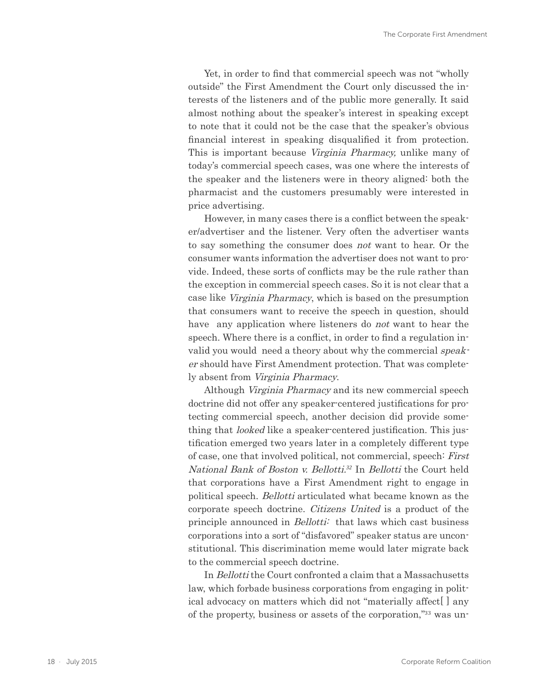Yet, in order to find that commercial speech was not "wholly outside" the First Amendment the Court only discussed the interests of the listeners and of the public more generally. It said almost nothing about the speaker's interest in speaking except to note that it could not be the case that the speaker's obvious financial interest in speaking disqualified it from protection. This is important because Virginia Pharmacy, unlike many of today's commercial speech cases, was one where the interests of the speaker and the listeners were in theory aligned: both the pharmacist and the customers presumably were interested in price advertising.

However, in many cases there is a conflict between the speaker/advertiser and the listener. Very often the advertiser wants to say something the consumer does not want to hear. Or the consumer wants information the advertiser does not want to provide. Indeed, these sorts of conflicts may be the rule rather than the exception in commercial speech cases. So it is not clear that a case like Virginia Pharmacy, which is based on the presumption that consumers want to receive the speech in question, should have any application where listeners do not want to hear the speech. Where there is a conflict, in order to find a regulation invalid you would need a theory about why the commercial speaker should have First Amendment protection. That was completely absent from Virginia Pharmacy.

Although Virginia Pharmacy and its new commercial speech doctrine did not offer any speaker-centered justifications for protecting commercial speech, another decision did provide something that *looked* like a speaker-centered justification. This justification emerged two years later in a completely different type of case, one that involved political, not commercial, speech: First National Bank of Boston v. Bellotti.*<sup>32</sup>* In Bellotti the Court held that corporations have a First Amendment right to engage in political speech. Bellotti articulated what became known as the corporate speech doctrine. Citizens United is a product of the principle announced in *Bellotti*: that laws which cast business corporations into a sort of "disfavored" speaker status are unconstitutional. This discrimination meme would later migrate back to the commercial speech doctrine.

In *Bellotti* the Court confronted a claim that a Massachusetts law, which forbade business corporations from engaging in political advocacy on matters which did not "materially affect[ ] any of the property, business or assets of the corporation,"33 was un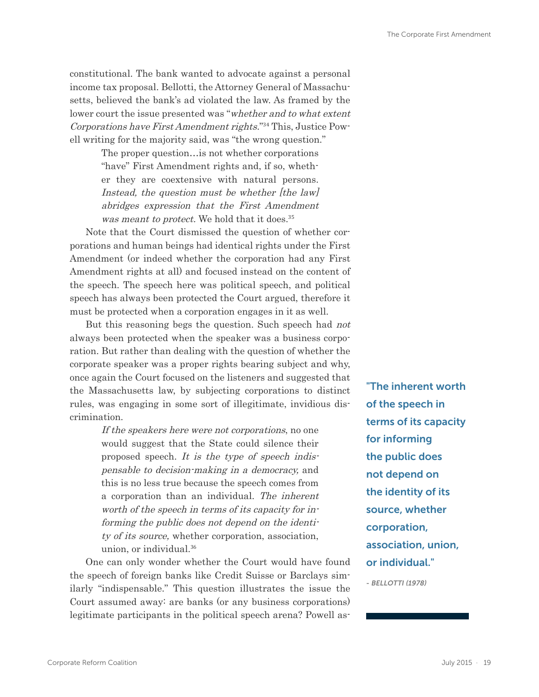constitutional. The bank wanted to advocate against a personal income tax proposal. Bellotti, the Attorney General of Massachusetts, believed the bank's ad violated the law. As framed by the lower court the issue presented was "whether and to what extent Corporations have First Amendment rights."34 This, Justice Powell writing for the majority said, was "the wrong question."

> The proper question…is not whether corporations "have" First Amendment rights and, if so, whether they are coextensive with natural persons. Instead, the question must be whether [the law] abridges expression that the First Amendment was meant to protect. We hold that it does.<sup>35</sup>

Note that the Court dismissed the question of whether corporations and human beings had identical rights under the First Amendment (or indeed whether the corporation had any First Amendment rights at all) and focused instead on the content of the speech. The speech here was political speech, and political speech has always been protected the Court argued, therefore it must be protected when a corporation engages in it as well.

But this reasoning begs the question. Such speech had not always been protected when the speaker was a business corporation. But rather than dealing with the question of whether the corporate speaker was a proper rights bearing subject and why, once again the Court focused on the listeners and suggested that the Massachusetts law, by subjecting corporations to distinct rules, was engaging in some sort of illegitimate, invidious discrimination.

> If the speakers here were not corporations, no one would suggest that the State could silence their proposed speech. It is the type of speech indispensable to decision-making in a democracy, and this is no less true because the speech comes from a corporation than an individual. The inherent worth of the speech in terms of its capacity for informing the public does not depend on the identity of its source, whether corporation, association, union, or individual.<sup>36</sup>

One can only wonder whether the Court would have found the speech of foreign banks like Credit Suisse or Barclays similarly "indispensable." This question illustrates the issue the Court assumed away: are banks (or any business corporations) legitimate participants in the political speech arena? Powell as"The inherent worth of the speech in terms of its capacity for informing the public does not depend on the identity of its source, whether corporation, association, union, or individual." - BELLOTTI (1978)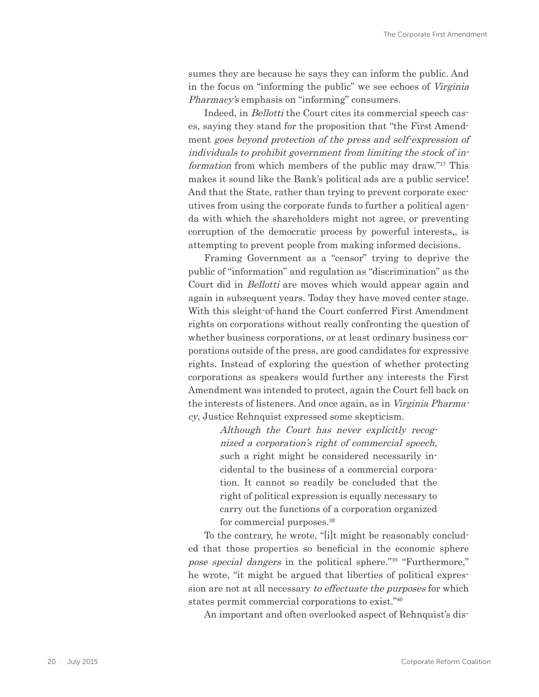sumes they are because he says they can inform the public. And in the focus on "informing the public" we see echoes of Virginia Pharmacy's emphasis on "informing" consumers.

Indeed, in *Bellotti* the Court cites its commercial speech cases, saying they stand for the proposition that "the First Amendment goes beyond protection of the press and self-expression of individuals to prohibit government from limiting the stock of information from which members of the public may draw."37 This makes it sound like the Bank's political ads are a public service! And that the State, rather than trying to prevent corporate executives from using the corporate funds to further a political agenda with which the shareholders might not agree, or preventing corruption of the democratic process by powerful interests,, is attempting to prevent people from making informed decisions.

Framing Government as a "censor" trying to deprive the public of "information" and regulation as "discrimination" as the Court did in Bellotti are moves which would appear again and again in subsequent years. Today they have moved center stage. With this sleight-of-hand the Court conferred First Amendment rights on corporations without really confronting the question of whether business corporations, or at least ordinary business corporations outside of the press, are good candidates for expressive rights. Instead of exploring the question of whether protecting corporations as speakers would further any interests the First Amendment was intended to protect, again the Court fell back on the interests of listeners. And once again, as in Virginia Pharmacy, Justice Rehnquist expressed some skepticism.

> Although the Court has never explicitly recognized a corporation's right of commercial speech, such a right might be considered necessarily incidental to the business of a commercial corporation. It cannot so readily be concluded that the right of political expression is equally necessary to carry out the functions of a corporation organized for commercial purposes.<sup>38</sup>

To the contrary, he wrote, "[i]t might be reasonably concluded that those properties so beneficial in the economic sphere pose special dangers in the political sphere."39 "Furthermore," he wrote, "it might be argued that liberties of political expression are not at all necessary to effectuate the purposes for which states permit commercial corporations to exist."<sup>40</sup>

An important and often overlooked aspect of Rehnquist's dis-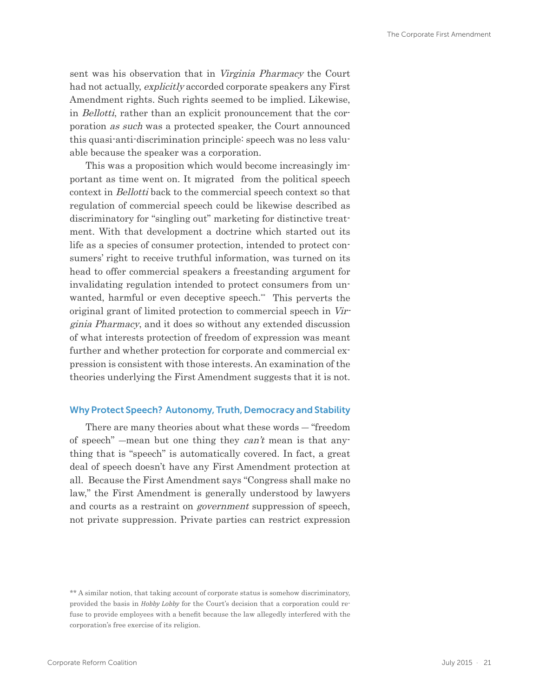<span id="page-20-0"></span>sent was his observation that in Virginia Pharmacy the Court had not actually, explicitly accorded corporate speakers any First Amendment rights. Such rights seemed to be implied. Likewise, in Bellotti, rather than an explicit pronouncement that the corporation as such was a protected speaker, the Court announced this quasi-anti-discrimination principle: speech was no less valuable because the speaker was a corporation.

This was a proposition which would become increasingly important as time went on. It migrated from the political speech context in Bellotti back to the commercial speech context so that regulation of commercial speech could be likewise described as discriminatory for "singling out" marketing for distinctive treatment. With that development a doctrine which started out its life as a species of consumer protection, intended to protect consumers' right to receive truthful information, was turned on its head to offer commercial speakers a freestanding argument for invalidating regulation intended to protect consumers from unwanted, harmful or even deceptive speech.\*\* This perverts the original grant of limited protection to commercial speech in Virginia Pharmacy, and it does so without any extended discussion of what interests protection of freedom of expression was meant further and whether protection for corporate and commercial expression is consistent with those interests. An examination of the theories underlying the First Amendment suggests that it is not.

#### Why Protect Speech? Autonomy, Truth, Democracy and Stability

There are many theories about what these words ― "freedom of speech" —mean but one thing they  $can't$  mean is that anything that is "speech" is automatically covered. In fact, a great deal of speech doesn't have any First Amendment protection at all. Because the First Amendment says "Congress shall make no law," the First Amendment is generally understood by lawyers and courts as a restraint on government suppression of speech, not private suppression. Private parties can restrict expression

<sup>\*\*</sup> A similar notion, that taking account of corporate status is somehow discriminatory, provided the basis in *Hobby Lobby* for the Court's decision that a corporation could refuse to provide employees with a benefit because the law allegedly interfered with the corporation's free exercise of its religion.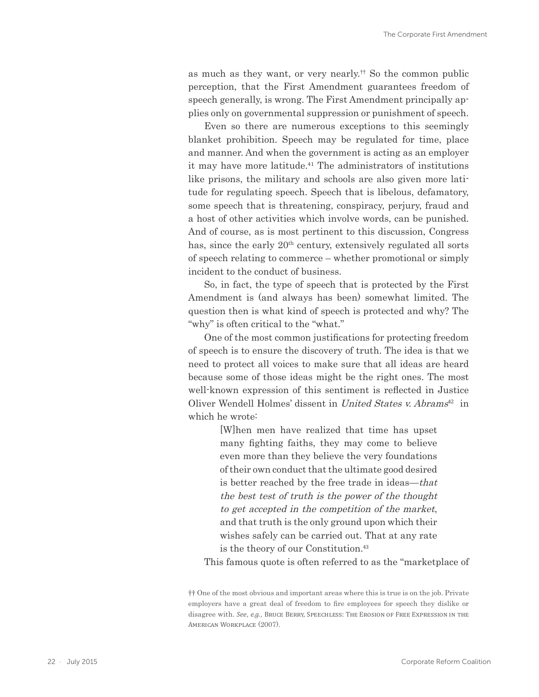as much as they want, or very nearly.†† So the common public perception, that the First Amendment guarantees freedom of speech generally, is wrong. The First Amendment principally applies only on governmental suppression or punishment of speech.

Even so there are numerous exceptions to this seemingly blanket prohibition. Speech may be regulated for time, place and manner. And when the government is acting as an employer it may have more latitude.<sup>41</sup> The administrators of institutions like prisons, the military and schools are also given more latitude for regulating speech. Speech that is libelous, defamatory, some speech that is threatening, conspiracy, perjury, fraud and a host of other activities which involve words, can be punished. And of course, as is most pertinent to this discussion, Congress has, since the early  $20<sup>th</sup>$  century, extensively regulated all sorts of speech relating to commerce – whether promotional or simply incident to the conduct of business.

So, in fact, the type of speech that is protected by the First Amendment is (and always has been) somewhat limited. The question then is what kind of speech is protected and why? The "why" is often critical to the "what."

One of the most common justifications for protecting freedom of speech is to ensure the discovery of truth. The idea is that we need to protect all voices to make sure that all ideas are heard because some of those ideas might be the right ones. The most well-known expression of this sentiment is reflected in Justice Oliver Wendell Holmes' dissent in United States v. Abrams<sup>42</sup> in which he wrote:

> [W]hen men have realized that time has upset many fighting faiths, they may come to believe even more than they believe the very foundations of their own conduct that the ultimate good desired is better reached by the free trade in ideas—that the best test of truth is the power of the thought to get accepted in the competition of the market, and that truth is the only ground upon which their wishes safely can be carried out. That at any rate is the theory of our Constitution.<sup>43</sup>

This famous quote is often referred to as the "marketplace of

<sup>††</sup> One of the most obvious and important areas where this is true is on the job. Private employers have a great deal of freedom to fire employees for speech they dislike or disagree with. *See*, *e.g.*, Bruce Berry, Speechless: The Erosion of Free Expression in the American Workplace (2007).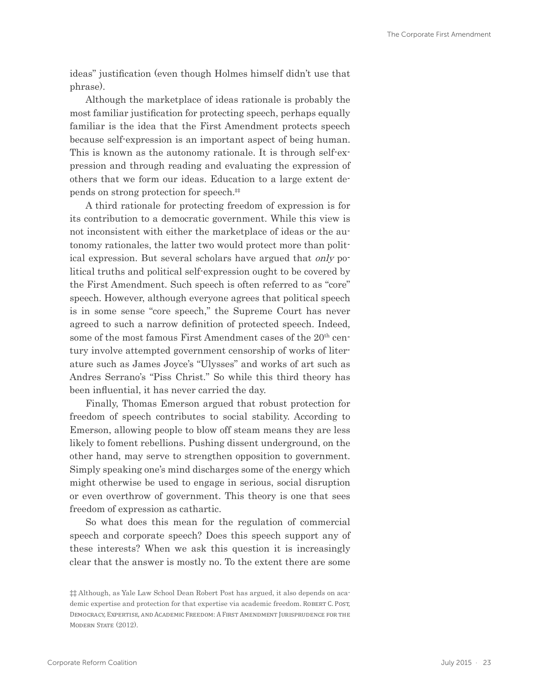ideas" justification (even though Holmes himself didn't use that phrase).

Although the marketplace of ideas rationale is probably the most familiar justification for protecting speech, perhaps equally familiar is the idea that the First Amendment protects speech because self-expression is an important aspect of being human. This is known as the autonomy rationale. It is through self-expression and through reading and evaluating the expression of others that we form our ideas. Education to a large extent depends on strong protection for speech.‡‡

A third rationale for protecting freedom of expression is for its contribution to a democratic government. While this view is not inconsistent with either the marketplace of ideas or the autonomy rationales, the latter two would protect more than political expression. But several scholars have argued that only political truths and political self-expression ought to be covered by the First Amendment. Such speech is often referred to as "core" speech. However, although everyone agrees that political speech is in some sense "core speech," the Supreme Court has never agreed to such a narrow definition of protected speech. Indeed, some of the most famous First Amendment cases of the 20<sup>th</sup> century involve attempted government censorship of works of literature such as James Joyce's "Ulysses" and works of art such as Andres Serrano's "Piss Christ." So while this third theory has been influential, it has never carried the day.

Finally, Thomas Emerson argued that robust protection for freedom of speech contributes to social stability. According to Emerson, allowing people to blow off steam means they are less likely to foment rebellions. Pushing dissent underground, on the other hand, may serve to strengthen opposition to government. Simply speaking one's mind discharges some of the energy which might otherwise be used to engage in serious, social disruption or even overthrow of government. This theory is one that sees freedom of expression as cathartic.

So what does this mean for the regulation of commercial speech and corporate speech? Does this speech support any of these interests? When we ask this question it is increasingly clear that the answer is mostly no. To the extent there are some

<sup>‡‡</sup> Although, as Yale Law School Dean Robert Post has argued, it also depends on academic expertise and protection for that expertise via academic freedom. ROBERT C. POST, Democracy, Expertise, and Academic Freedom: A First Amendment Jurisprudence for the MODERN STATE (2012).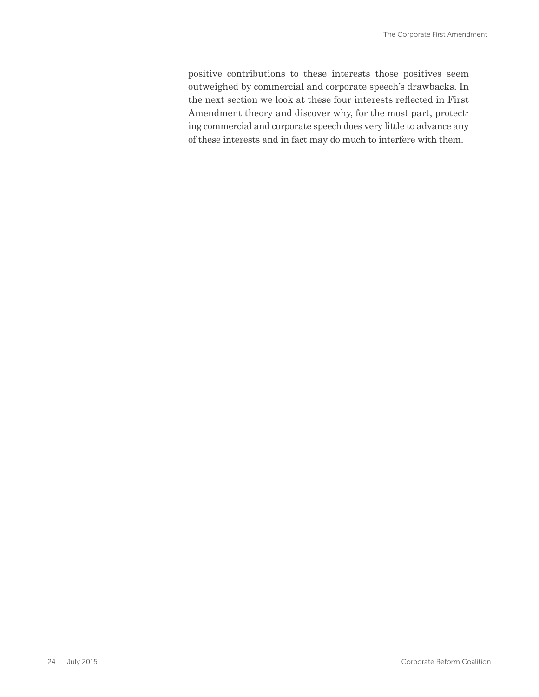<span id="page-23-0"></span>positive contributions to these interests those positives seem outweighed by commercial and corporate speech's drawbacks. In the next section we look at these four interests reflected in First Amendment theory and discover why, for the most part, protecting commercial and corporate speech does very little to advance any of these interests and in fact may do much to interfere with them.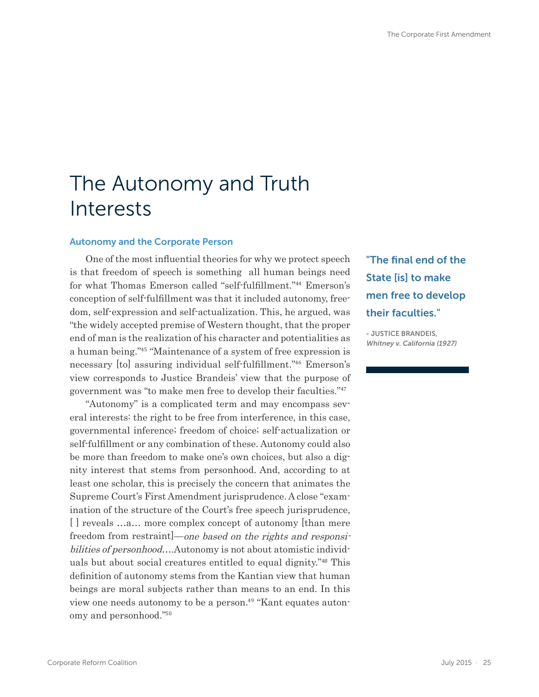# The Autonomy and Truth Interests

#### Autonomy and the Corporate Person

One of the most influential theories for why we protect speech is that freedom of speech is something all human beings need for what Thomas Emerson called "self-fulfillment."44 Emerson's conception of self-fulfillment was that it included autonomy, freedom, self-expression and self-actualization. This, he argued, was "the widely accepted premise of Western thought, that the proper end of man is the realization of his character and potentialities as a human being."45 "Maintenance of a system of free expression is necessary [to] assuring individual self-fulfillment."46 Emerson's view corresponds to Justice Brandeis' view that the purpose of government was "to make men free to develop their faculties."<sup>47</sup>

"Autonomy" is a complicated term and may encompass several interests: the right to be free from interference, in this case, governmental inference; freedom of choice; self-actualization or self-fulfillment or any combination of these. Autonomy could also be more than freedom to make one's own choices, but also a dignity interest that stems from personhood. And, according to at least one scholar, this is precisely the concern that animates the Supreme Court's First Amendment jurisprudence. A close "examination of the structure of the Court's free speech jurisprudence, [] reveals ...a... more complex concept of autonomy [than mere freedom from restraint  $]-one$  based on the rights and responsibilities of personhood....Autonomy is not about atomistic individuals but about social creatures entitled to equal dignity."48 This definition of autonomy stems from the Kantian view that human beings are moral subjects rather than means to an end. In this view one needs autonomy to be a person.<sup>49</sup> "Kant equates autonomy and personhood."<sup>50</sup>

"The final end of the State [is] to make men free to develop their faculties."

- JUSTICE BRANDEIS, Whitney v. California (1927)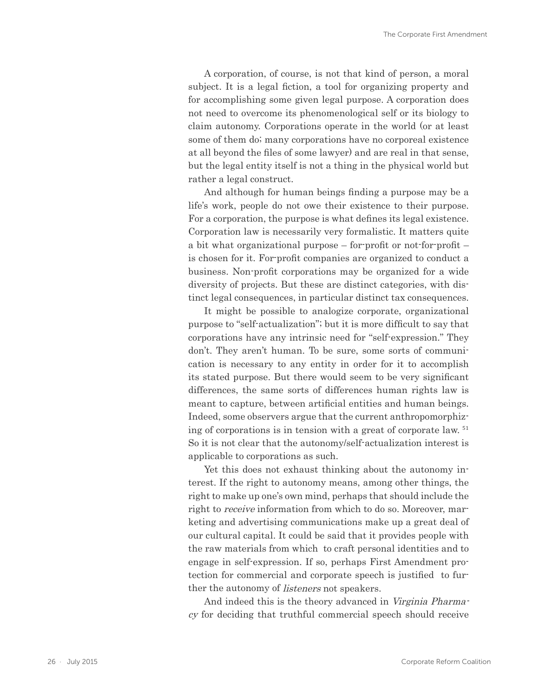A corporation, of course, is not that kind of person, a moral subject. It is a legal fiction, a tool for organizing property and for accomplishing some given legal purpose. A corporation does not need to overcome its phenomenological self or its biology to claim autonomy. Corporations operate in the world (or at least some of them do; many corporations have no corporeal existence at all beyond the files of some lawyer) and are real in that sense, but the legal entity itself is not a thing in the physical world but rather a legal construct.

And although for human beings finding a purpose may be a life's work, people do not owe their existence to their purpose. For a corporation, the purpose is what defines its legal existence. Corporation law is necessarily very formalistic. It matters quite a bit what organizational purpose – for-profit or not-for-profit – is chosen for it. For-profit companies are organized to conduct a business. Non-profit corporations may be organized for a wide diversity of projects. But these are distinct categories, with distinct legal consequences, in particular distinct tax consequences.

It might be possible to analogize corporate, organizational purpose to "self-actualization"; but it is more difficult to say that corporations have any intrinsic need for "self-expression." They don't. They aren't human. To be sure, some sorts of communication is necessary to any entity in order for it to accomplish its stated purpose. But there would seem to be very significant differences, the same sorts of differences human rights law is meant to capture, between artificial entities and human beings. Indeed, some observers argue that the current anthropomorphizing of corporations is in tension with a great of corporate law. <sup>51</sup> So it is not clear that the autonomy/self-actualization interest is applicable to corporations as such.

Yet this does not exhaust thinking about the autonomy interest. If the right to autonomy means, among other things, the right to make up one's own mind, perhaps that should include the right to *receive* information from which to do so. Moreover, marketing and advertising communications make up a great deal of our cultural capital. It could be said that it provides people with the raw materials from which to craft personal identities and to engage in self-expression. If so, perhaps First Amendment protection for commercial and corporate speech is justified to further the autonomy of *listeners* not speakers.

And indeed this is the theory advanced in Virginia Pharmacy for deciding that truthful commercial speech should receive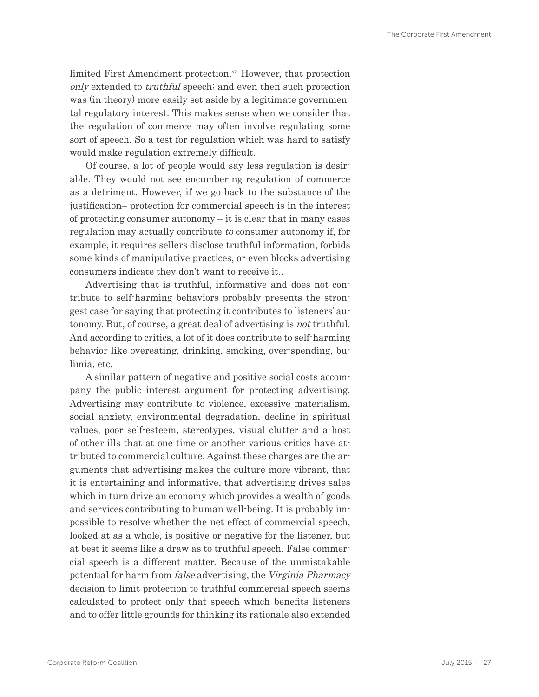<span id="page-26-0"></span>limited First Amendment protection.<sup>52</sup> However, that protection only extended to truthful speech; and even then such protection was (in theory) more easily set aside by a legitimate governmental regulatory interest. This makes sense when we consider that the regulation of commerce may often involve regulating some sort of speech. So a test for regulation which was hard to satisfy would make regulation extremely difficult.

Of course, a lot of people would say less regulation is desirable. They would not see encumbering regulation of commerce as a detriment. However, if we go back to the substance of the justification– protection for commercial speech is in the interest of protecting consumer autonomy – it is clear that in many cases regulation may actually contribute to consumer autonomy if, for example, it requires sellers disclose truthful information, forbids some kinds of manipulative practices, or even blocks advertising consumers indicate they don't want to receive it..

Advertising that is truthful, informative and does not contribute to self-harming behaviors probably presents the strongest case for saying that protecting it contributes to listeners' autonomy. But, of course, a great deal of advertising is not truthful. And according to critics, a lot of it does contribute to self-harming behavior like overeating, drinking, smoking, over-spending, bulimia, etc.

A similar pattern of negative and positive social costs accompany the public interest argument for protecting advertising. Advertising may contribute to violence, excessive materialism, social anxiety, environmental degradation, decline in spiritual values, poor self-esteem, stereotypes, visual clutter and a host of other ills that at one time or another various critics have attributed to commercial culture. Against these charges are the arguments that advertising makes the culture more vibrant, that it is entertaining and informative, that advertising drives sales which in turn drive an economy which provides a wealth of goods and services contributing to human well-being. It is probably impossible to resolve whether the net effect of commercial speech, looked at as a whole, is positive or negative for the listener, but at best it seems like a draw as to truthful speech. False commercial speech is a different matter. Because of the unmistakable potential for harm from false advertising, the Virginia Pharmacy decision to limit protection to truthful commercial speech seems calculated to protect only that speech which benefits listeners and to offer little grounds for thinking its rationale also extended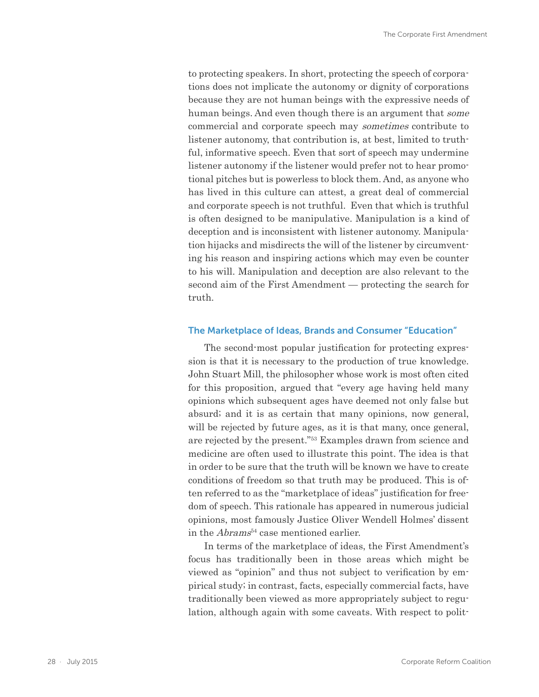to protecting speakers. In short, protecting the speech of corporations does not implicate the autonomy or dignity of corporations because they are not human beings with the expressive needs of human beings. And even though there is an argument that some commercial and corporate speech may sometimes contribute to listener autonomy, that contribution is, at best, limited to truthful, informative speech. Even that sort of speech may undermine listener autonomy if the listener would prefer not to hear promotional pitches but is powerless to block them. And, as anyone who has lived in this culture can attest, a great deal of commercial and corporate speech is not truthful. Even that which is truthful is often designed to be manipulative. Manipulation is a kind of deception and is inconsistent with listener autonomy. Manipulation hijacks and misdirects the will of the listener by circumventing his reason and inspiring actions which may even be counter to his will. Manipulation and deception are also relevant to the second aim of the First Amendment — protecting the search for truth.

#### The Marketplace of Ideas, Brands and Consumer "Education"

The second-most popular justification for protecting expression is that it is necessary to the production of true knowledge. John Stuart Mill, the philosopher whose work is most often cited for this proposition, argued that "every age having held many opinions which subsequent ages have deemed not only false but absurd; and it is as certain that many opinions, now general, will be rejected by future ages, as it is that many, once general, are rejected by the present."53 Examples drawn from science and medicine are often used to illustrate this point. The idea is that in order to be sure that the truth will be known we have to create conditions of freedom so that truth may be produced. This is often referred to as the "marketplace of ideas" justification for freedom of speech. This rationale has appeared in numerous judicial opinions, most famously Justice Oliver Wendell Holmes' dissent in the  $Abrams<sup>54</sup>$  case mentioned earlier.

In terms of the marketplace of ideas, the First Amendment's focus has traditionally been in those areas which might be viewed as "opinion" and thus not subject to verification by empirical study; in contrast, facts, especially commercial facts, have traditionally been viewed as more appropriately subject to regulation, although again with some caveats. With respect to polit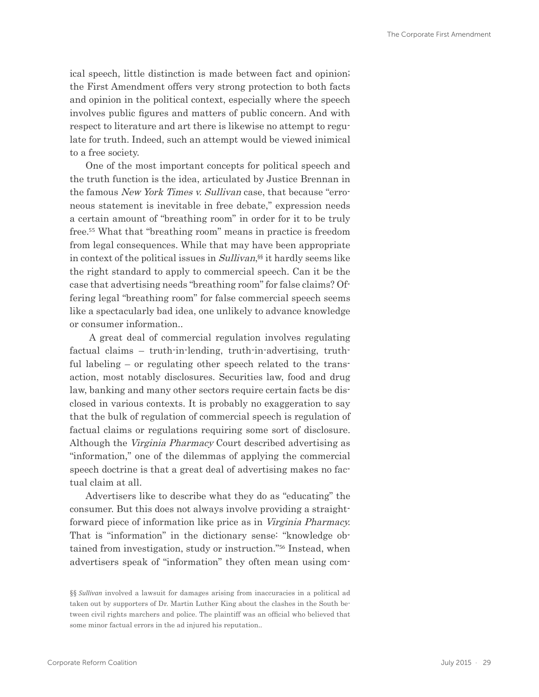<span id="page-28-0"></span>ical speech, little distinction is made between fact and opinion; the First Amendment offers very strong protection to both facts and opinion in the political context, especially where the speech involves public figures and matters of public concern. And with respect to literature and art there is likewise no attempt to regulate for truth. Indeed, such an attempt would be viewed inimical to a free society.

One of the most important concepts for political speech and the truth function is the idea, articulated by Justice Brennan in the famous New York Times v. Sullivan case, that because "erroneous statement is inevitable in free debate," expression needs a certain amount of "breathing room" in order for it to be truly free.55 What that "breathing room" means in practice is freedom from legal consequences. While that may have been appropriate in context of the political issues in Sullivan, §§ it hardly seems like the right standard to apply to commercial speech. Can it be the case that advertising needs "breathing room" for false claims? Offering legal "breathing room" for false commercial speech seems like a spectacularly bad idea, one unlikely to advance knowledge or consumer information..

 A great deal of commercial regulation involves regulating factual claims – truth-in-lending, truth-in-advertising, truthful labeling – or regulating other speech related to the transaction, most notably disclosures. Securities law, food and drug law, banking and many other sectors require certain facts be disclosed in various contexts. It is probably no exaggeration to say that the bulk of regulation of commercial speech is regulation of factual claims or regulations requiring some sort of disclosure. Although the Virginia Pharmacy Court described advertising as "information," one of the dilemmas of applying the commercial speech doctrine is that a great deal of advertising makes no factual claim at all.

Advertisers like to describe what they do as "educating" the consumer. But this does not always involve providing a straightforward piece of information like price as in Virginia Pharmacy. That is "information" in the dictionary sense: "knowledge obtained from investigation, study or instruction."56 Instead, when advertisers speak of "information" they often mean using com-

<sup>§§</sup> *Sullivan* involved a lawsuit for damages arising from inaccuracies in a political ad taken out by supporters of Dr. Martin Luther King about the clashes in the South between civil rights marchers and police. The plaintiff was an official who believed that some minor factual errors in the ad injured his reputation..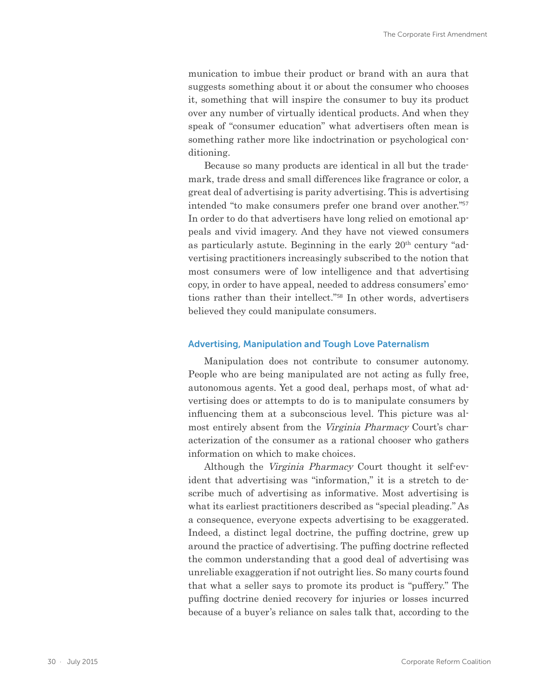munication to imbue their product or brand with an aura that suggests something about it or about the consumer who chooses it, something that will inspire the consumer to buy its product over any number of virtually identical products. And when they speak of "consumer education" what advertisers often mean is something rather more like indoctrination or psychological conditioning.

Because so many products are identical in all but the trademark, trade dress and small differences like fragrance or color, a great deal of advertising is parity advertising. This is advertising intended "to make consumers prefer one brand over another."<sup>57</sup> In order to do that advertisers have long relied on emotional appeals and vivid imagery. And they have not viewed consumers as particularly astute. Beginning in the early  $20<sup>th</sup>$  century "advertising practitioners increasingly subscribed to the notion that most consumers were of low intelligence and that advertising copy, in order to have appeal, needed to address consumers' emotions rather than their intellect."58 In other words, advertisers believed they could manipulate consumers.

#### Advertising, Manipulation and Tough Love Paternalism

Manipulation does not contribute to consumer autonomy. People who are being manipulated are not acting as fully free, autonomous agents. Yet a good deal, perhaps most, of what advertising does or attempts to do is to manipulate consumers by influencing them at a subconscious level. This picture was almost entirely absent from the Virginia Pharmacy Court's characterization of the consumer as a rational chooser who gathers information on which to make choices.

Although the Virginia Pharmacy Court thought it self-evident that advertising was "information," it is a stretch to describe much of advertising as informative. Most advertising is what its earliest practitioners described as "special pleading." As a consequence, everyone expects advertising to be exaggerated. Indeed, a distinct legal doctrine, the puffing doctrine, grew up around the practice of advertising. The puffing doctrine reflected the common understanding that a good deal of advertising was unreliable exaggeration if not outright lies. So many courts found that what a seller says to promote its product is "puffery." The puffing doctrine denied recovery for injuries or losses incurred because of a buyer's reliance on sales talk that, according to the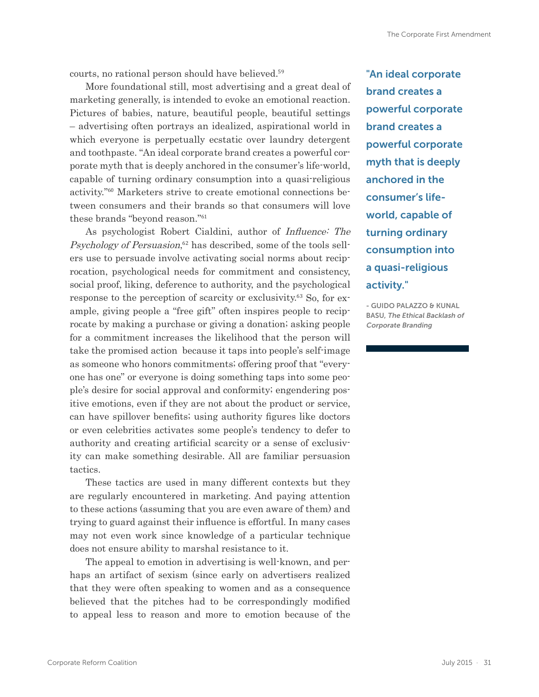courts, no rational person should have believed.<sup>59</sup>

More foundational still, most advertising and a great deal of marketing generally, is intended to evoke an emotional reaction. Pictures of babies, nature, beautiful people, beautiful settings – advertising often portrays an idealized, aspirational world in which everyone is perpetually ecstatic over laundry detergent and toothpaste. "An ideal corporate brand creates a powerful corporate myth that is deeply anchored in the consumer's life-world, capable of turning ordinary consumption into a quasi-religious activity."60 Marketers strive to create emotional connections between consumers and their brands so that consumers will love these brands "beyond reason."<sup>61</sup>

As psychologist Robert Cialdini, author of Influence: The Psychology of Persuasion,<sup>62</sup> has described, some of the tools sellers use to persuade involve activating social norms about reciprocation, psychological needs for commitment and consistency, social proof, liking, deference to authority, and the psychological response to the perception of scarcity or exclusivity.63 So, for example, giving people a "free gift" often inspires people to reciprocate by making a purchase or giving a donation; asking people for a commitment increases the likelihood that the person will take the promised action because it taps into people's self-image as someone who honors commitments; offering proof that "everyone has one" or everyone is doing something taps into some people's desire for social approval and conformity; engendering positive emotions, even if they are not about the product or service, can have spillover benefits; using authority figures like doctors or even celebrities activates some people's tendency to defer to authority and creating artificial scarcity or a sense of exclusivity can make something desirable. All are familiar persuasion tactics.

These tactics are used in many different contexts but they are regularly encountered in marketing. And paying attention to these actions (assuming that you are even aware of them) and trying to guard against their influence is effortful. In many cases may not even work since knowledge of a particular technique does not ensure ability to marshal resistance to it.

The appeal to emotion in advertising is well-known, and perhaps an artifact of sexism (since early on advertisers realized that they were often speaking to women and as a consequence believed that the pitches had to be correspondingly modified to appeal less to reason and more to emotion because of the

"An ideal corporate brand creates a powerful corporate brand creates a powerful corporate myth that is deeply anchored in the consumer's lifeworld, capable of turning ordinary consumption into a quasi-religious activity."

- GUIDO PALAZZO & KUNAL BASU, The Ethical Backlash of Corporate Branding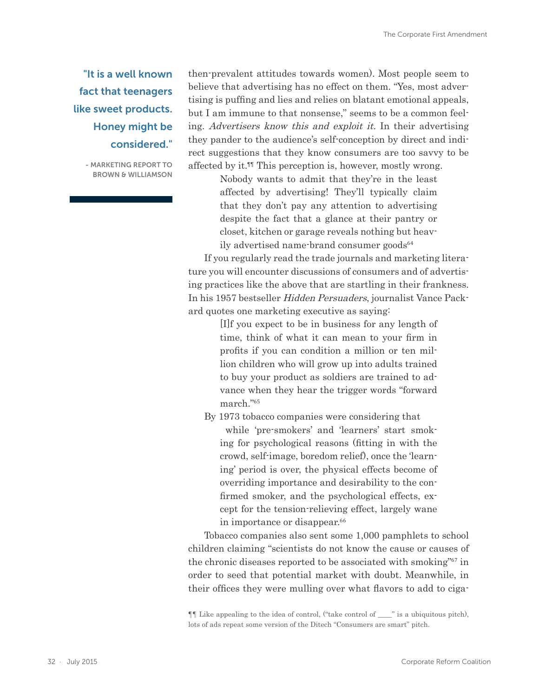### "It is a well known fact that teenagers like sweet products. Honey might be considered."

- MARKETING REPORT TO BROWN & WILLIAMSON

then-prevalent attitudes towards women). Most people seem to believe that advertising has no effect on them. "Yes, most advertising is puffing and lies and relies on blatant emotional appeals, but I am immune to that nonsense," seems to be a common feeling. Advertisers know this and exploit it. In their advertising they pander to the audience's self-conception by direct and indirect suggestions that they know consumers are too savvy to be affected by it.<sup>11</sup> This perception is, however, mostly wrong.

> Nobody wants to admit that they're in the least affected by advertising! They'll typically claim that they don't pay any attention to advertising despite the fact that a glance at their pantry or closet, kitchen or garage reveals nothing but heavily advertised name-brand consumer goods<sup>64</sup>

If you regularly read the trade journals and marketing literature you will encounter discussions of consumers and of advertising practices like the above that are startling in their frankness. In his 1957 bestseller Hidden Persuaders, journalist Vance Packard quotes one marketing executive as saying:

> [I]f you expect to be in business for any length of time, think of what it can mean to your firm in profits if you can condition a million or ten million children who will grow up into adults trained to buy your product as soldiers are trained to advance when they hear the trigger words "forward march."<sup>65</sup>

By 1973 tobacco companies were considering that while 'pre-smokers' and 'learners' start smoking for psychological reasons (fitting in with the crowd, self-image, boredom relief), once the 'learning' period is over, the physical effects become of overriding importance and desirability to the confirmed smoker, and the psychological effects, except for the tension-relieving effect, largely wane in importance or disappear.<sup>66</sup>

Tobacco companies also sent some 1,000 pamphlets to school children claiming "scientists do not know the cause or causes of the chronic diseases reported to be associated with smoking"67 in order to seed that potential market with doubt. Meanwhile, in their offices they were mulling over what flavors to add to ciga-

<sup>¶¶</sup> Like appealing to the idea of control, ("take control of \_\_\_\_" is a ubiquitous pitch), lots of ads repeat some version of the Ditech "Consumers are smart" pitch.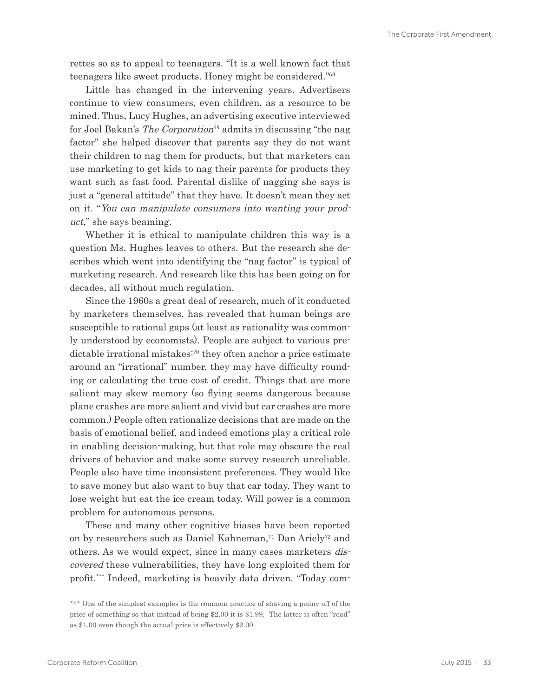rettes so as to appeal to teenagers. "It is a well known fact that teenagers like sweet products. Honey might be considered."<sup>68</sup>

Little has changed in the intervening years. Advertisers continue to view consumers, even children, as a resource to be mined. Thus, Lucy Hughes, an advertising executive interviewed for Joel Bakan's *The Corporation*<sup>69</sup> admits in discussing "the nag factor" she helped discover that parents say they do not want their children to nag them for products, but that marketers can use marketing to get kids to nag their parents for products they want such as fast food. Parental dislike of nagging she says is just a "general attitude" that they have. It doesn't mean they act on it. "You can manipulate consumers into wanting your product," she says beaming.

Whether it is ethical to manipulate children this way is a question Ms. Hughes leaves to others. But the research she describes which went into identifying the "nag factor" is typical of marketing research. And research like this has been going on for decades, all without much regulation.

Since the 1960s a great deal of research, much of it conducted by marketers themselves, has revealed that human beings are susceptible to rational gaps (at least as rationality was commonly understood by economists). People are subject to various predictable irrational mistakes<sup>:70</sup> they often anchor a price estimate around an "irrational" number, they may have difficulty rounding or calculating the true cost of credit. Things that are more salient may skew memory (so flying seems dangerous because plane crashes are more salient and vivid but car crashes are more common.) People often rationalize decisions that are made on the basis of emotional belief, and indeed emotions play a critical role in enabling decision-making, but that role may obscure the real drivers of behavior and make some survey research unreliable. People also have time inconsistent preferences. They would like to save money but also want to buy that car today. They want to lose weight but eat the ice cream today. Will power is a common problem for autonomous persons.

These and many other cognitive biases have been reported on by researchers such as Daniel Kahneman,<sup>71</sup> Dan Ariely<sup>72</sup> and others. As we would expect, since in many cases marketers discovered these vulnerabilities, they have long exploited them for profit.\*\*\* Indeed, marketing is heavily data driven. "Today com-

<sup>\*\*\*</sup> One of the simplest examples is the common practice of shaving a penny off of the price of something so that instead of being \$2.00 it is \$1.99. The latter is often "read" as \$1.00 even though the actual price is effectively \$2.00.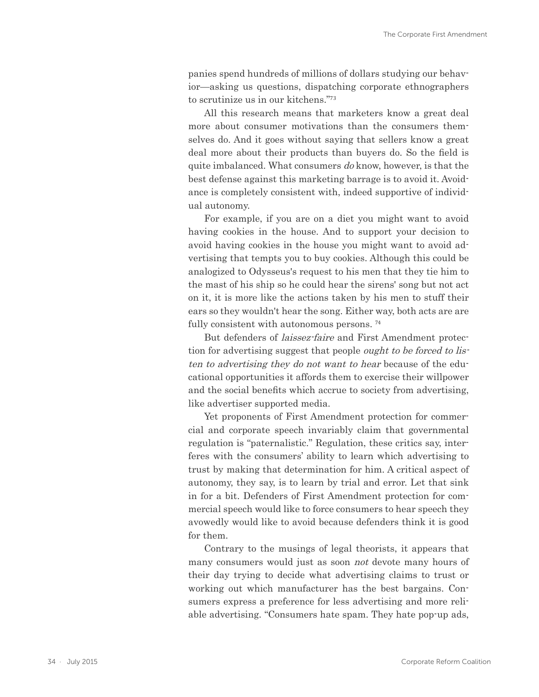panies spend hundreds of millions of dollars studying our behavior—asking us questions, dispatching corporate ethnographers to scrutinize us in our kitchens."<sup>73</sup>

All this research means that marketers know a great deal more about consumer motivations than the consumers themselves do. And it goes without saying that sellers know a great deal more about their products than buyers do. So the field is quite imbalanced. What consumers do know, however, is that the best defense against this marketing barrage is to avoid it. Avoidance is completely consistent with, indeed supportive of individual autonomy.

For example, if you are on a diet you might want to avoid having cookies in the house. And to support your decision to avoid having cookies in the house you might want to avoid advertising that tempts you to buy cookies. Although this could be analogized to Odysseus's request to his men that they tie him to the mast of his ship so he could hear the sirens' song but not act on it, it is more like the actions taken by his men to stuff their ears so they wouldn't hear the song. Either way, both acts are are fully consistent with autonomous persons.<sup>74</sup>

But defenders of laissez-faire and First Amendment protection for advertising suggest that people *ought to be forced to lis*ten to advertising they do not want to hear because of the educational opportunities it affords them to exercise their willpower and the social benefits which accrue to society from advertising, like advertiser supported media.

Yet proponents of First Amendment protection for commercial and corporate speech invariably claim that governmental regulation is "paternalistic." Regulation, these critics say, interferes with the consumers' ability to learn which advertising to trust by making that determination for him. A critical aspect of autonomy, they say, is to learn by trial and error. Let that sink in for a bit. Defenders of First Amendment protection for commercial speech would like to force consumers to hear speech they avowedly would like to avoid because defenders think it is good for them.

Contrary to the musings of legal theorists, it appears that many consumers would just as soon not devote many hours of their day trying to decide what advertising claims to trust or working out which manufacturer has the best bargains. Consumers express a preference for less advertising and more reliable advertising. "Consumers hate spam. They hate pop-up ads,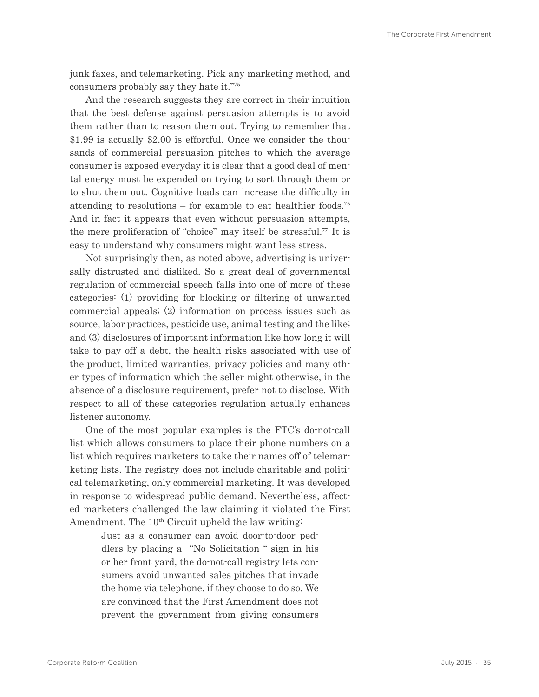junk faxes, and telemarketing. Pick any marketing method, and consumers probably say they hate it."75

And the research suggests they are correct in their intuition that the best defense against persuasion attempts is to avoid them rather than to reason them out. Trying to remember that \$1.99 is actually \$2.00 is effortful. Once we consider the thousands of commercial persuasion pitches to which the average consumer is exposed everyday it is clear that a good deal of mental energy must be expended on trying to sort through them or to shut them out. Cognitive loads can increase the difficulty in attending to resolutions – for example to eat healthier foods.<sup>76</sup> And in fact it appears that even without persuasion attempts, the mere proliferation of "choice" may itself be stressful.77 It is easy to understand why consumers might want less stress.

Not surprisingly then, as noted above, advertising is universally distrusted and disliked. So a great deal of governmental regulation of commercial speech falls into one of more of these categories: (1) providing for blocking or filtering of unwanted commercial appeals; (2) information on process issues such as source, labor practices, pesticide use, animal testing and the like; and (3) disclosures of important information like how long it will take to pay off a debt, the health risks associated with use of the product, limited warranties, privacy policies and many other types of information which the seller might otherwise, in the absence of a disclosure requirement, prefer not to disclose. With respect to all of these categories regulation actually enhances listener autonomy.

One of the most popular examples is the FTC's do-not-call list which allows consumers to place their phone numbers on a list which requires marketers to take their names off of telemarketing lists. The registry does not include charitable and political telemarketing, only commercial marketing. It was developed in response to widespread public demand. Nevertheless, affected marketers challenged the law claiming it violated the First Amendment. The 10<sup>th</sup> Circuit upheld the law writing:

> Just as a consumer can avoid door-to-door peddlers by placing a "No Solicitation " sign in his or her front yard, the do-not-call registry lets consumers avoid unwanted sales pitches that invade the home via telephone, if they choose to do so. We are convinced that the First Amendment does not prevent the government from giving consumers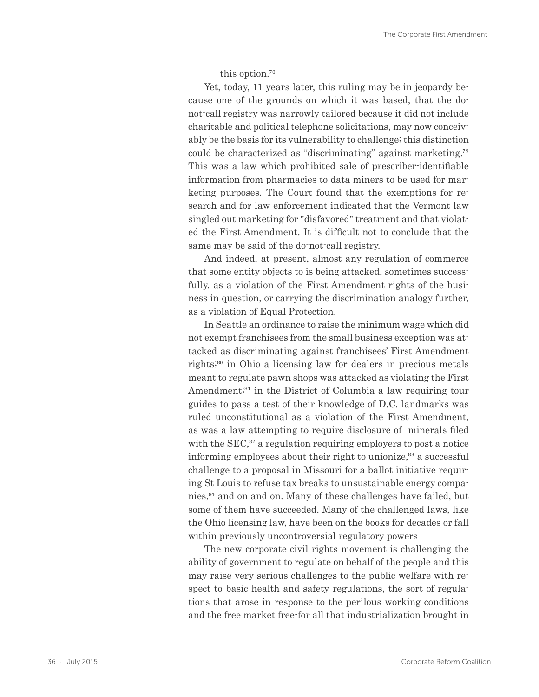this option.<sup>78</sup>

<span id="page-35-0"></span>Yet, today, 11 years later, this ruling may be in jeopardy because one of the grounds on which it was based, that the donot-call registry was narrowly tailored because it did not include charitable and political telephone solicitations, may now conceivably be the basis for its vulnerability to challenge; this distinction could be characterized as "discriminating" against marketing.<sup>79</sup> This was a law which prohibited sale of prescriber-identifiable information from pharmacies to data miners to be used for marketing purposes. The Court found that the exemptions for research and for law enforcement indicated that the Vermont law singled out marketing for "disfavored" treatment and that violated the First Amendment. It is difficult not to conclude that the same may be said of the do-not-call registry.

And indeed, at present, almost any regulation of commerce that some entity objects to is being attacked, sometimes successfully, as a violation of the First Amendment rights of the business in question, or carrying the discrimination analogy further, as a violation of Equal Protection.

In Seattle an ordinance to raise the minimum wage which did not exempt franchisees from the small business exception was attacked as discriminating against franchisees' First Amendment rights;<sup>80</sup> in Ohio a licensing law for dealers in precious metals meant to regulate pawn shops was attacked as violating the First Amendment;<sup>81</sup> in the District of Columbia a law requiring tour guides to pass a test of their knowledge of D.C. landmarks was ruled unconstitutional as a violation of the First Amendment, as was a law attempting to require disclosure of minerals filed with the  $SEC<sub>,82</sub>$  a regulation requiring employers to post a notice informing employees about their right to unionize,  $83$  a successful challenge to a proposal in Missouri for a ballot initiative requiring St Louis to refuse tax breaks to unsustainable energy companies,84 and on and on. Many of these challenges have failed, but some of them have succeeded. Many of the challenged laws, like the Ohio licensing law, have been on the books for decades or fall within previously uncontroversial regulatory powers

The new corporate civil rights movement is challenging the ability of government to regulate on behalf of the people and this may raise very serious challenges to the public welfare with respect to basic health and safety regulations, the sort of regulations that arose in response to the perilous working conditions and the free market free-for all that industrialization brought in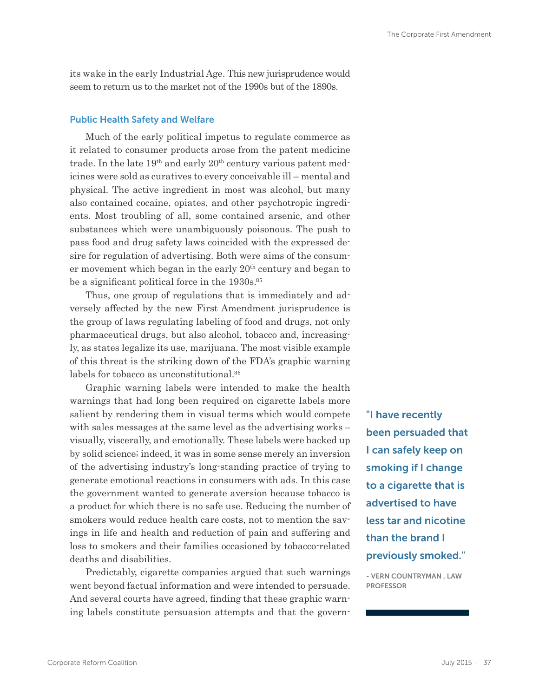its wake in the early Industrial Age. This new jurisprudence would seem to return us to the market not of the 1990s but of the 1890s.

#### Public Health Safety and Welfare

Much of the early political impetus to regulate commerce as it related to consumer products arose from the patent medicine trade. In the late  $19<sup>th</sup>$  and early  $20<sup>th</sup>$  century various patent medicines were sold as curatives to every conceivable ill – mental and physical. The active ingredient in most was alcohol, but many also contained cocaine, opiates, and other psychotropic ingredients. Most troubling of all, some contained arsenic, and other substances which were unambiguously poisonous. The push to pass food and drug safety laws coincided with the expressed desire for regulation of advertising. Both were aims of the consumer movement which began in the early  $20<sup>th</sup>$  century and began to be a significant political force in the 1930s.<sup>85</sup>

Thus, one group of regulations that is immediately and adversely affected by the new First Amendment jurisprudence is the group of laws regulating labeling of food and drugs, not only pharmaceutical drugs, but also alcohol, tobacco and, increasingly, as states legalize its use, marijuana. The most visible example of this threat is the striking down of the FDA's graphic warning labels for tobacco as unconstitutional.<sup>86</sup>

Graphic warning labels were intended to make the health warnings that had long been required on cigarette labels more salient by rendering them in visual terms which would compete with sales messages at the same level as the advertising works – visually, viscerally, and emotionally. These labels were backed up by solid science; indeed, it was in some sense merely an inversion of the advertising industry's long-standing practice of trying to generate emotional reactions in consumers with ads. In this case the government wanted to generate aversion because tobacco is a product for which there is no safe use. Reducing the number of smokers would reduce health care costs, not to mention the savings in life and health and reduction of pain and suffering and loss to smokers and their families occasioned by tobacco-related deaths and disabilities.

Predictably, cigarette companies argued that such warnings went beyond factual information and were intended to persuade. And several courts have agreed, finding that these graphic warning labels constitute persuasion attempts and that the govern"I have recently been persuaded that I can safely keep on smoking if I change to a cigarette that is advertised to have less tar and nicotine than the brand I previously smoked."

- VERN COUNTRYMAN , LAW PROFESSOR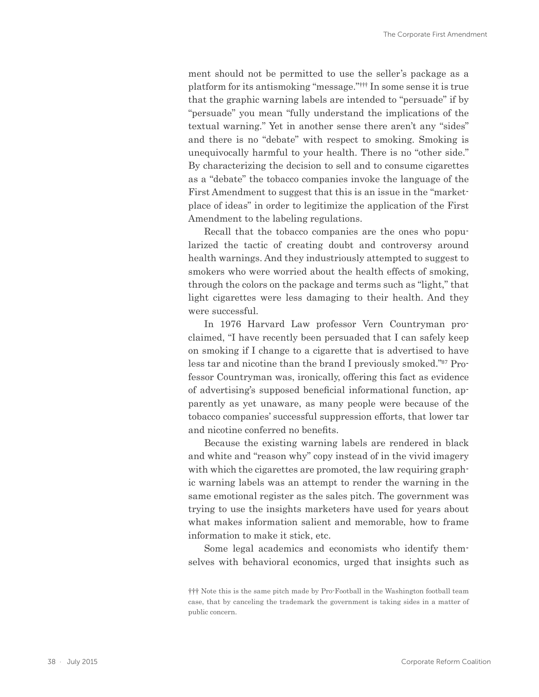ment should not be permitted to use the seller's package as a platform for its antismoking "message."††† In some sense it is true that the graphic warning labels are intended to "persuade" if by "persuade" you mean "fully understand the implications of the textual warning." Yet in another sense there aren't any "sides" and there is no "debate" with respect to smoking. Smoking is unequivocally harmful to your health. There is no "other side." By characterizing the decision to sell and to consume cigarettes as a "debate" the tobacco companies invoke the language of the First Amendment to suggest that this is an issue in the "marketplace of ideas" in order to legitimize the application of the First Amendment to the labeling regulations.

Recall that the tobacco companies are the ones who popularized the tactic of creating doubt and controversy around health warnings. And they industriously attempted to suggest to smokers who were worried about the health effects of smoking, through the colors on the package and terms such as "light," that light cigarettes were less damaging to their health. And they were successful.

In 1976 Harvard Law professor Vern Countryman proclaimed, "I have recently been persuaded that I can safely keep on smoking if I change to a cigarette that is advertised to have less tar and nicotine than the brand I previously smoked."87 Professor Countryman was, ironically, offering this fact as evidence of advertising's supposed beneficial informational function, apparently as yet unaware, as many people were because of the tobacco companies' successful suppression efforts, that lower tar and nicotine conferred no benefits.

Because the existing warning labels are rendered in black and white and "reason why" copy instead of in the vivid imagery with which the cigarettes are promoted, the law requiring graphic warning labels was an attempt to render the warning in the same emotional register as the sales pitch. The government was trying to use the insights marketers have used for years about what makes information salient and memorable, how to frame information to make it stick, etc.

Some legal academics and economists who identify themselves with behavioral economics, urged that insights such as

<sup>†††</sup> Note this is the same pitch made by Pro-Football in the Washington football team case, that by canceling the trademark the government is taking sides in a matter of public concern.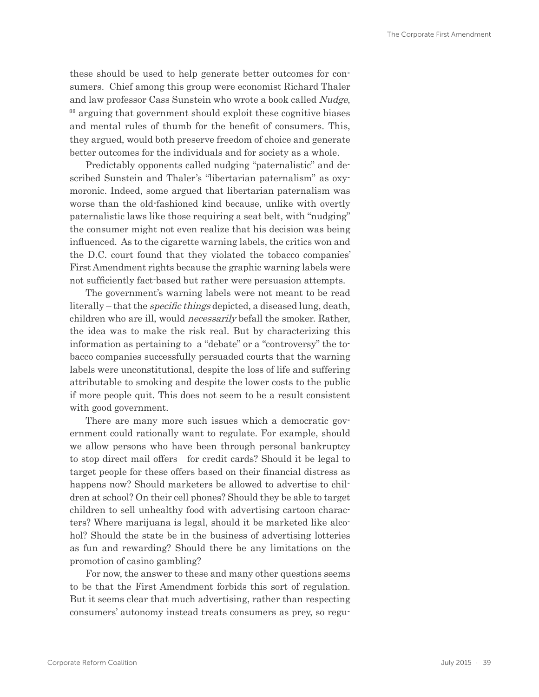<span id="page-38-0"></span>these should be used to help generate better outcomes for consumers. Chief among this group were economist Richard Thaler and law professor Cass Sunstein who wrote a book called Nudge, <sup>88</sup> arguing that government should exploit these cognitive biases and mental rules of thumb for the benefit of consumers. This, they argued, would both preserve freedom of choice and generate better outcomes for the individuals and for society as a whole.

Predictably opponents called nudging "paternalistic" and described Sunstein and Thaler's "libertarian paternalism" as oxymoronic. Indeed, some argued that libertarian paternalism was worse than the old-fashioned kind because, unlike with overtly paternalistic laws like those requiring a seat belt, with "nudging" the consumer might not even realize that his decision was being influenced. As to the cigarette warning labels, the critics won and the D.C. court found that they violated the tobacco companies' First Amendment rights because the graphic warning labels were not sufficiently fact-based but rather were persuasion attempts.

The government's warning labels were not meant to be read literally – that the *specific things* depicted, a diseased lung, death, children who are ill, would necessarily befall the smoker. Rather, the idea was to make the risk real. But by characterizing this information as pertaining to a "debate" or a "controversy" the tobacco companies successfully persuaded courts that the warning labels were unconstitutional, despite the loss of life and suffering attributable to smoking and despite the lower costs to the public if more people quit. This does not seem to be a result consistent with good government.

There are many more such issues which a democratic government could rationally want to regulate. For example, should we allow persons who have been through personal bankruptcy to stop direct mail offers for credit cards? Should it be legal to target people for these offers based on their financial distress as happens now? Should marketers be allowed to advertise to children at school? On their cell phones? Should they be able to target children to sell unhealthy food with advertising cartoon characters? Where marijuana is legal, should it be marketed like alcohol? Should the state be in the business of advertising lotteries as fun and rewarding? Should there be any limitations on the promotion of casino gambling?

For now, the answer to these and many other questions seems to be that the First Amendment forbids this sort of regulation. But it seems clear that much advertising, rather than respecting consumers' autonomy instead treats consumers as prey, so regu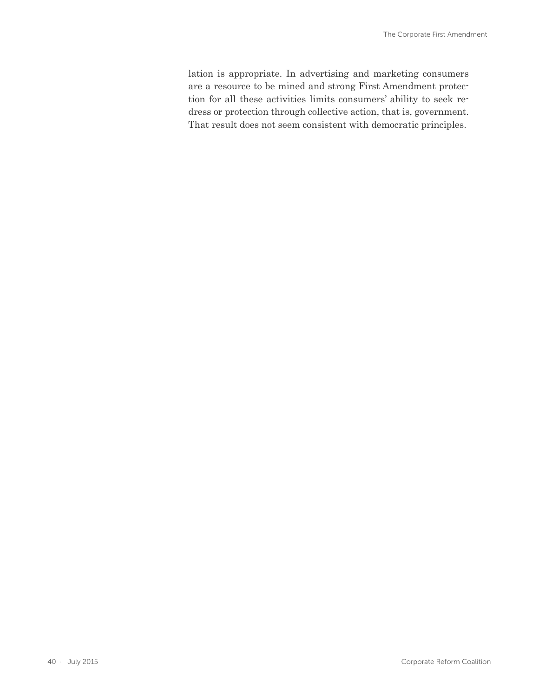<span id="page-39-0"></span>lation is appropriate. In advertising and marketing consumers are a resource to be mined and strong First Amendment protection for all these activities limits consumers' ability to seek redress or protection through collective action, that is, government. That result does not seem consistent with democratic principles.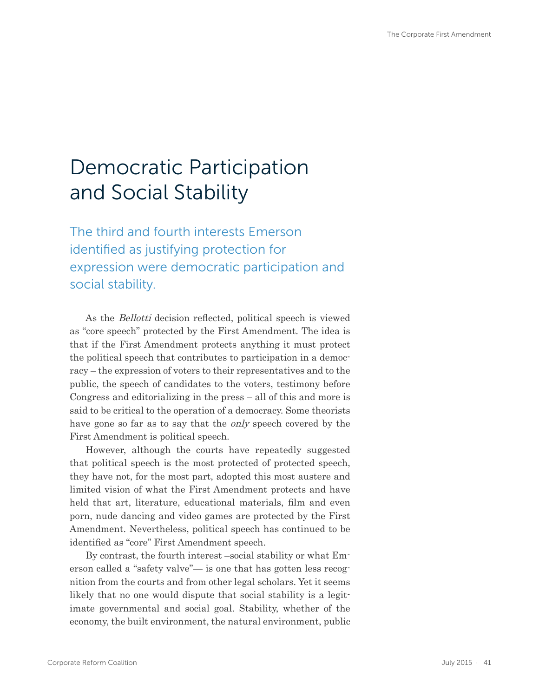# Democratic Participation and Social Stability

The third and fourth interests Emerson identified as justifying protection for expression were democratic participation and social stability.

As the Bellotti decision reflected, political speech is viewed as "core speech" protected by the First Amendment. The idea is that if the First Amendment protects anything it must protect the political speech that contributes to participation in a democracy – the expression of voters to their representatives and to the public, the speech of candidates to the voters, testimony before Congress and editorializing in the press – all of this and more is said to be critical to the operation of a democracy. Some theorists have gone so far as to say that the *only* speech covered by the First Amendment is political speech.

However, although the courts have repeatedly suggested that political speech is the most protected of protected speech, they have not, for the most part, adopted this most austere and limited vision of what the First Amendment protects and have held that art, literature, educational materials, film and even porn, nude dancing and video games are protected by the First Amendment. Nevertheless, political speech has continued to be identified as "core" First Amendment speech.

By contrast, the fourth interest –social stability or what Emerson called a "safety valve"— is one that has gotten less recognition from the courts and from other legal scholars. Yet it seems likely that no one would dispute that social stability is a legitimate governmental and social goal. Stability, whether of the economy, the built environment, the natural environment, public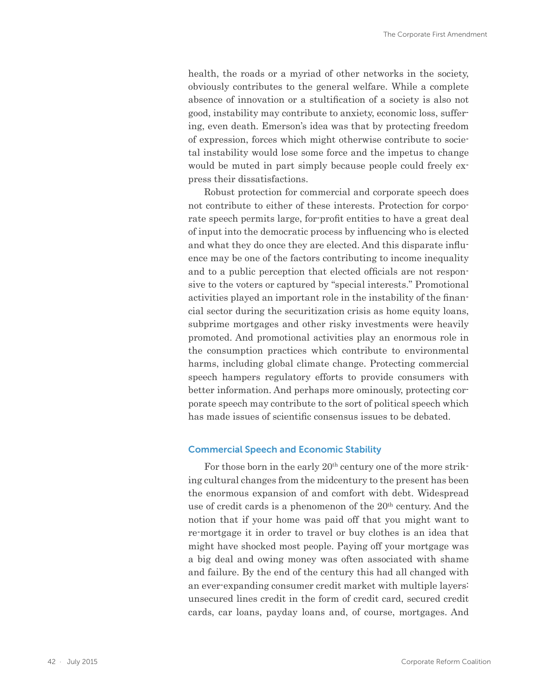<span id="page-41-0"></span>health, the roads or a myriad of other networks in the society, obviously contributes to the general welfare. While a complete absence of innovation or a stultification of a society is also not good, instability may contribute to anxiety, economic loss, suffering, even death. Emerson's idea was that by protecting freedom of expression, forces which might otherwise contribute to societal instability would lose some force and the impetus to change would be muted in part simply because people could freely express their dissatisfactions.

Robust protection for commercial and corporate speech does not contribute to either of these interests. Protection for corporate speech permits large, for-profit entities to have a great deal of input into the democratic process by influencing who is elected and what they do once they are elected. And this disparate influence may be one of the factors contributing to income inequality and to a public perception that elected officials are not responsive to the voters or captured by "special interests." Promotional activities played an important role in the instability of the financial sector during the securitization crisis as home equity loans, subprime mortgages and other risky investments were heavily promoted. And promotional activities play an enormous role in the consumption practices which contribute to environmental harms, including global climate change. Protecting commercial speech hampers regulatory efforts to provide consumers with better information. And perhaps more ominously, protecting corporate speech may contribute to the sort of political speech which has made issues of scientific consensus issues to be debated.

#### Commercial Speech and Economic Stability

For those born in the early  $20<sup>th</sup>$  century one of the more striking cultural changes from the midcentury to the present has been the enormous expansion of and comfort with debt. Widespread use of credit cards is a phenomenon of the  $20<sup>th</sup>$  century. And the notion that if your home was paid off that you might want to re-mortgage it in order to travel or buy clothes is an idea that might have shocked most people. Paying off your mortgage was a big deal and owing money was often associated with shame and failure. By the end of the century this had all changed with an ever-expanding consumer credit market with multiple layers: unsecured lines credit in the form of credit card, secured credit cards, car loans, payday loans and, of course, mortgages. And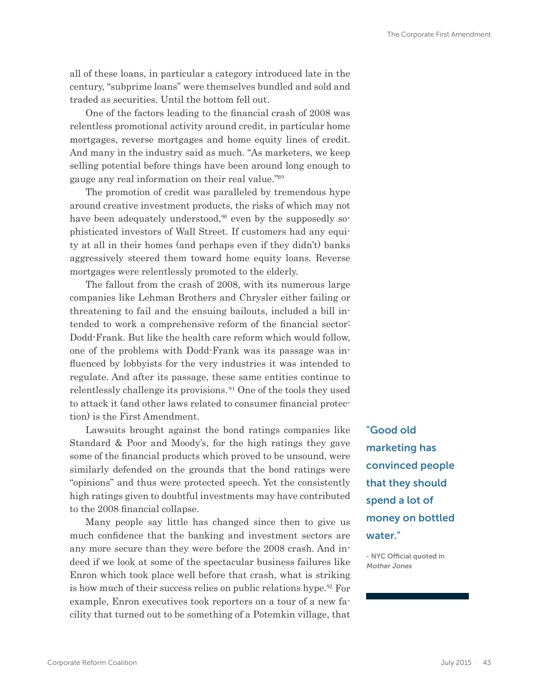all of these loans, in particular a category introduced late in the century, "subprime loans" were themselves bundled and sold and traded as securities. Until the bottom fell out.

One of the factors leading to the financial crash of 2008 was relentless promotional activity around credit, in particular home mortgages, reverse mortgages and home equity lines of credit. And many in the industry said as much. "As marketers, we keep selling potential before things have been around long enough to gauge any real information on their real value."<sup>89</sup>

The promotion of credit was paralleled by tremendous hype around creative investment products, the risks of which may not have been adequately understood,<sup>90</sup> even by the supposedly sophisticated investors of Wall Street. If customers had any equity at all in their homes (and perhaps even if they didn't) banks aggressively steered them toward home equity loans. Reverse mortgages were relentlessly promoted to the elderly.

The fallout from the crash of 2008, with its numerous large companies like Lehman Brothers and Chrysler either failing or threatening to fail and the ensuing bailouts, included a bill intended to work a comprehensive reform of the financial sector: Dodd-Frank. But like the health care reform which would follow, one of the problems with Dodd-Frank was its passage was influenced by lobbyists for the very industries it was intended to regulate. And after its passage, these same entities continue to relentlessly challenge its provisions.<sup>91</sup> One of the tools they used to attack it (and other laws related to consumer financial protection) is the First Amendment.

Lawsuits brought against the bond ratings companies like Standard & Poor and Moody's, for the high ratings they gave some of the financial products which proved to be unsound, were similarly defended on the grounds that the bond ratings were "opinions" and thus were protected speech. Yet the consistently high ratings given to doubtful investments may have contributed to the 2008 financial collapse.

Many people say little has changed since then to give us much confidence that the banking and investment sectors are any more secure than they were before the 2008 crash. And indeed if we look at some of the spectacular business failures like Enron which took place well before that crash, what is striking is how much of their success relies on public relations hype.92 For example, Enron executives took reporters on a tour of a new facility that turned out to be something of a Potemkin village, that "Good old marketing has convinced people that they should spend a lot of money on bottled water."

- NYC Official quoted in Mother Jones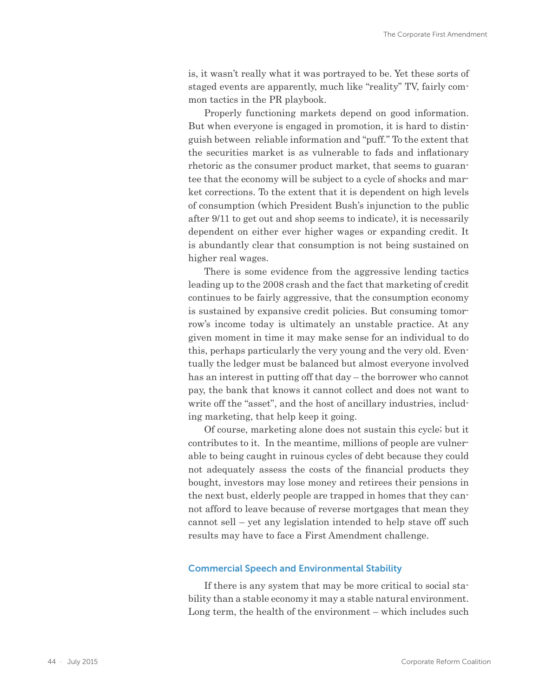is, it wasn't really what it was portrayed to be. Yet these sorts of staged events are apparently, much like "reality" TV, fairly common tactics in the PR playbook.

Properly functioning markets depend on good information. But when everyone is engaged in promotion, it is hard to distinguish between reliable information and "puff." To the extent that the securities market is as vulnerable to fads and inflationary rhetoric as the consumer product market, that seems to guarantee that the economy will be subject to a cycle of shocks and market corrections. To the extent that it is dependent on high levels of consumption (which President Bush's injunction to the public after 9/11 to get out and shop seems to indicate), it is necessarily dependent on either ever higher wages or expanding credit. It is abundantly clear that consumption is not being sustained on higher real wages.

There is some evidence from the aggressive lending tactics leading up to the 2008 crash and the fact that marketing of credit continues to be fairly aggressive, that the consumption economy is sustained by expansive credit policies. But consuming tomorrow's income today is ultimately an unstable practice. At any given moment in time it may make sense for an individual to do this, perhaps particularly the very young and the very old. Eventually the ledger must be balanced but almost everyone involved has an interest in putting off that day – the borrower who cannot pay, the bank that knows it cannot collect and does not want to write off the "asset", and the host of ancillary industries, including marketing, that help keep it going.

Of course, marketing alone does not sustain this cycle; but it contributes to it. In the meantime, millions of people are vulnerable to being caught in ruinous cycles of debt because they could not adequately assess the costs of the financial products they bought, investors may lose money and retirees their pensions in the next bust, elderly people are trapped in homes that they cannot afford to leave because of reverse mortgages that mean they cannot sell – yet any legislation intended to help stave off such results may have to face a First Amendment challenge.

#### Commercial Speech and Environmental Stability

If there is any system that may be more critical to social stability than a stable economy it may a stable natural environment. Long term, the health of the environment – which includes such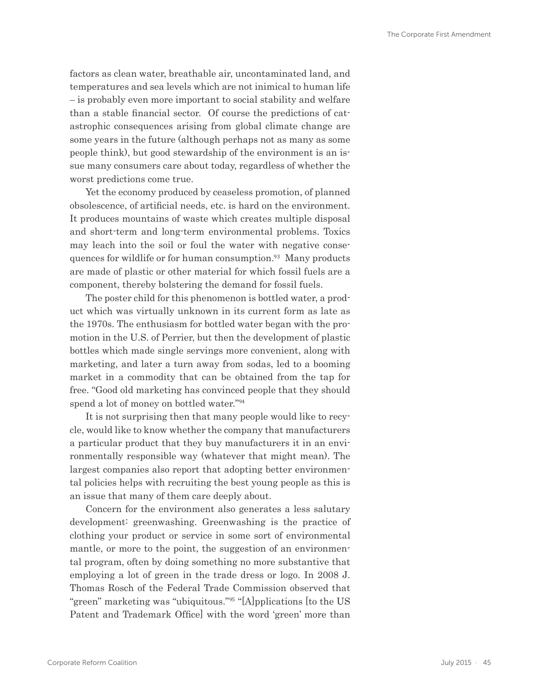<span id="page-44-0"></span>factors as clean water, breathable air, uncontaminated land, and temperatures and sea levels which are not inimical to human life – is probably even more important to social stability and welfare than a stable financial sector. Of course the predictions of catastrophic consequences arising from global climate change are some years in the future (although perhaps not as many as some people think), but good stewardship of the environment is an issue many consumers care about today, regardless of whether the worst predictions come true.

Yet the economy produced by ceaseless promotion, of planned obsolescence, of artificial needs, etc. is hard on the environment. It produces mountains of waste which creates multiple disposal and short-term and long-term environmental problems. Toxics may leach into the soil or foul the water with negative consequences for wildlife or for human consumption.<sup>93</sup> Many products are made of plastic or other material for which fossil fuels are a component, thereby bolstering the demand for fossil fuels.

The poster child for this phenomenon is bottled water, a product which was virtually unknown in its current form as late as the 1970s. The enthusiasm for bottled water began with the promotion in the U.S. of Perrier, but then the development of plastic bottles which made single servings more convenient, along with marketing, and later a turn away from sodas, led to a booming market in a commodity that can be obtained from the tap for free. "Good old marketing has convinced people that they should spend a lot of money on bottled water."<sup>94</sup>

It is not surprising then that many people would like to recycle, would like to know whether the company that manufacturers a particular product that they buy manufacturers it in an environmentally responsible way (whatever that might mean). The largest companies also report that adopting better environmental policies helps with recruiting the best young people as this is an issue that many of them care deeply about.

Concern for the environment also generates a less salutary development: greenwashing. Greenwashing is the practice of clothing your product or service in some sort of environmental mantle, or more to the point, the suggestion of an environmental program, often by doing something no more substantive that employing a lot of green in the trade dress or logo. In 2008 J. Thomas Rosch of the Federal Trade Commission observed that "green" marketing was "ubiquitous."95 "[A]pplications [to the US Patent and Trademark Office] with the word 'green' more than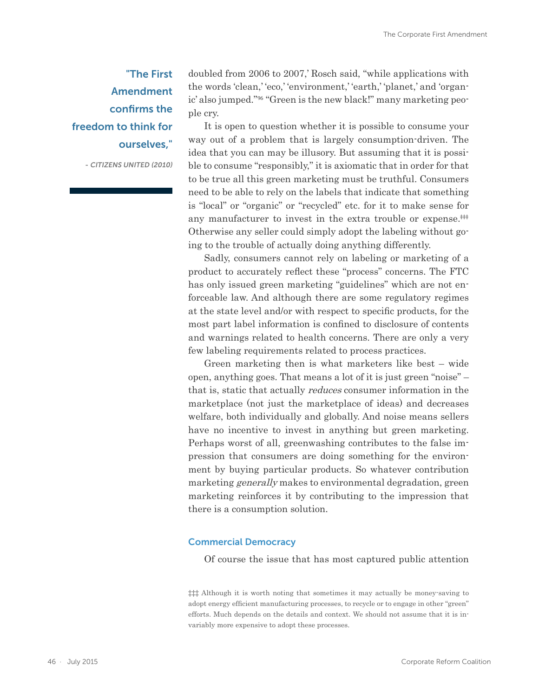### "The First Amendment confirms the freedom to think for ourselves,"

- CITIZENS UNITED (2010)

doubled from 2006 to 2007,' Rosch said, "while applications with the words 'clean,' 'eco,' 'environment,' 'earth,' 'planet,' and 'organic' also jumped."96 "Green is the new black!" many marketing people cry.

It is open to question whether it is possible to consume your way out of a problem that is largely consumption-driven. The idea that you can may be illusory. But assuming that it is possible to consume "responsibly," it is axiomatic that in order for that to be true all this green marketing must be truthful. Consumers need to be able to rely on the labels that indicate that something is "local" or "organic" or "recycled" etc. for it to make sense for any manufacturer to invest in the extra trouble or expense.<sup>##</sup> Otherwise any seller could simply adopt the labeling without going to the trouble of actually doing anything differently.

Sadly, consumers cannot rely on labeling or marketing of a product to accurately reflect these "process" concerns. The FTC has only issued green marketing "guidelines" which are not enforceable law. And although there are some regulatory regimes at the state level and/or with respect to specific products, for the most part label information is confined to disclosure of contents and warnings related to health concerns. There are only a very few labeling requirements related to process practices.

Green marketing then is what marketers like best – wide open, anything goes. That means a lot of it is just green "noise" – that is, static that actually reduces consumer information in the marketplace (not just the marketplace of ideas) and decreases welfare, both individually and globally. And noise means sellers have no incentive to invest in anything but green marketing. Perhaps worst of all, greenwashing contributes to the false impression that consumers are doing something for the environment by buying particular products. So whatever contribution marketing *generally* makes to environmental degradation, green marketing reinforces it by contributing to the impression that there is a consumption solution.

#### Commercial Democracy

Of course the issue that has most captured public attention

‡‡‡ Although it is worth noting that sometimes it may actually be money-saving to adopt energy efficient manufacturing processes, to recycle or to engage in other "green" efforts. Much depends on the details and context. We should not assume that it is invariably more expensive to adopt these processes.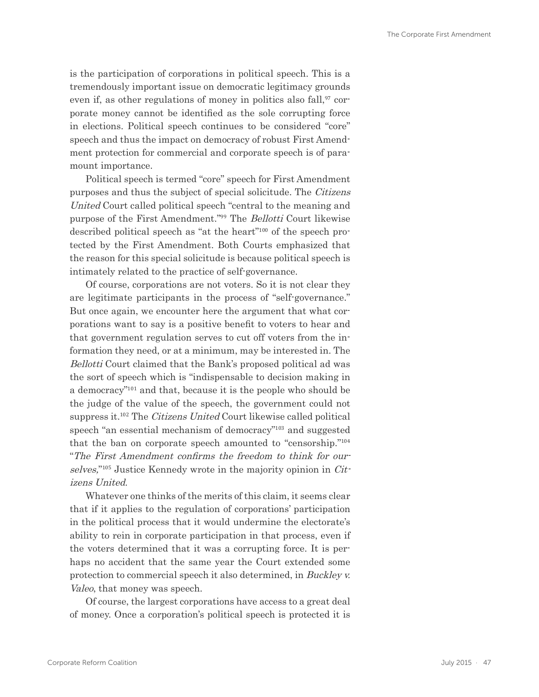is the participation of corporations in political speech. This is a tremendously important issue on democratic legitimacy grounds even if, as other regulations of money in politics also fall,<sup>97</sup> corporate money cannot be identified as the sole corrupting force in elections. Political speech continues to be considered "core" speech and thus the impact on democracy of robust First Amendment protection for commercial and corporate speech is of paramount importance.

Political speech is termed "core" speech for First Amendment purposes and thus the subject of special solicitude. The Citizens United Court called political speech "central to the meaning and purpose of the First Amendment."<sup>99</sup> The *Bellotti* Court likewise described political speech as "at the heart"100 of the speech protected by the First Amendment. Both Courts emphasized that the reason for this special solicitude is because political speech is intimately related to the practice of self-governance.

Of course, corporations are not voters. So it is not clear they are legitimate participants in the process of "self-governance." But once again, we encounter here the argument that what corporations want to say is a positive benefit to voters to hear and that government regulation serves to cut off voters from the information they need, or at a minimum, may be interested in. The Bellotti Court claimed that the Bank's proposed political ad was the sort of speech which is "indispensable to decision making in a democracy"101 and that, because it is the people who should be the judge of the value of the speech, the government could not suppress it.<sup>102</sup> The *Citizens United* Court likewise called political speech "an essential mechanism of democracy"<sup>103</sup> and suggested that the ban on corporate speech amounted to "censorship."<sup>104</sup> "The First Amendment confirms the freedom to think for ourselves,"<sup>105</sup> Justice Kennedy wrote in the majority opinion in *Cit*izens United.

Whatever one thinks of the merits of this claim, it seems clear that if it applies to the regulation of corporations' participation in the political process that it would undermine the electorate's ability to rein in corporate participation in that process, even if the voters determined that it was a corrupting force. It is perhaps no accident that the same year the Court extended some protection to commercial speech it also determined, in Buckley v. Valeo, that money was speech.

Of course, the largest corporations have access to a great deal of money. Once a corporation's political speech is protected it is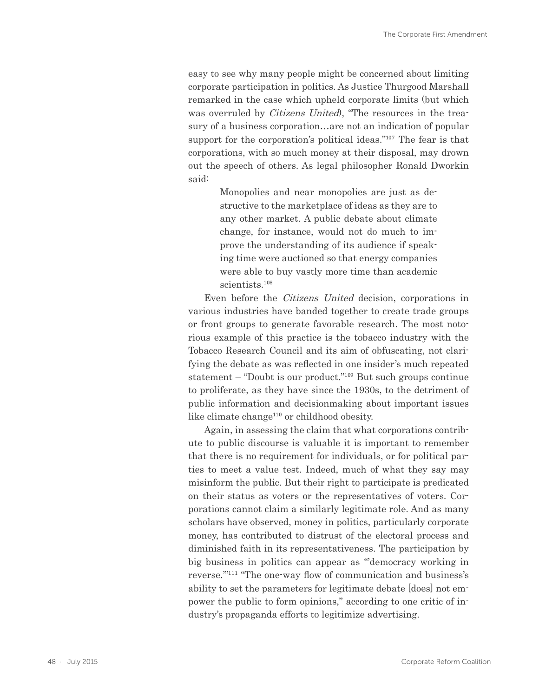<span id="page-47-0"></span>easy to see why many people might be concerned about limiting corporate participation in politics. As Justice Thurgood Marshall remarked in the case which upheld corporate limits (but which was overruled by *Citizens United*), "The resources in the treasury of a business corporation…are not an indication of popular support for the corporation's political ideas."<sup>107</sup> The fear is that corporations, with so much money at their disposal, may drown out the speech of others. As legal philosopher Ronald Dworkin said:

> Monopolies and near monopolies are just as destructive to the marketplace of ideas as they are to any other market. A public debate about climate change, for instance, would not do much to improve the understanding of its audience if speaking time were auctioned so that energy companies were able to buy vastly more time than academic scientists.<sup>108</sup>

Even before the Citizens United decision, corporations in various industries have banded together to create trade groups or front groups to generate favorable research. The most notorious example of this practice is the tobacco industry with the Tobacco Research Council and its aim of obfuscating, not clarifying the debate as was reflected in one insider's much repeated statement – "Doubt is our product."109 But such groups continue to proliferate, as they have since the 1930s, to the detriment of public information and decisionmaking about important issues like climate change<sup>110</sup> or childhood obesity.

Again, in assessing the claim that what corporations contribute to public discourse is valuable it is important to remember that there is no requirement for individuals, or for political parties to meet a value test. Indeed, much of what they say may misinform the public. But their right to participate is predicated on their status as voters or the representatives of voters. Corporations cannot claim a similarly legitimate role. And as many scholars have observed, money in politics, particularly corporate money, has contributed to distrust of the electoral process and diminished faith in its representativeness. The participation by big business in politics can appear as "'democracy working in reverse.'"111 "The one-way flow of communication and business's ability to set the parameters for legitimate debate [does] not empower the public to form opinions," according to one critic of industry's propaganda efforts to legitimize advertising.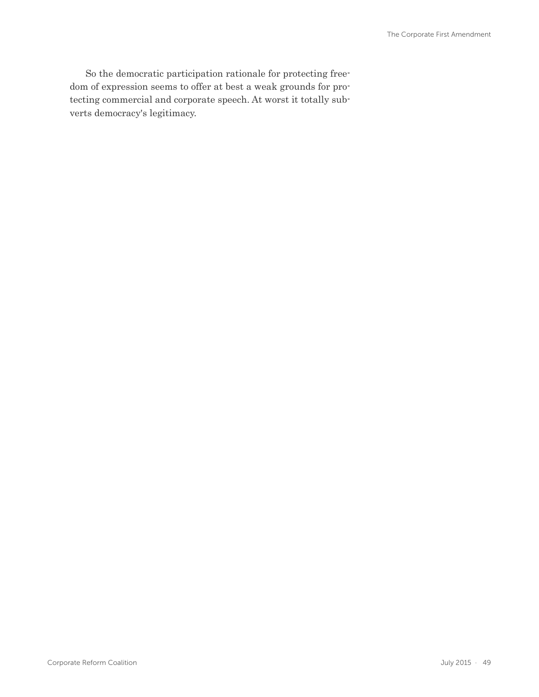So the democratic participation rationale for protecting freedom of expression seems to offer at best a weak grounds for protecting commercial and corporate speech. At worst it totally subverts democracy's legitimacy.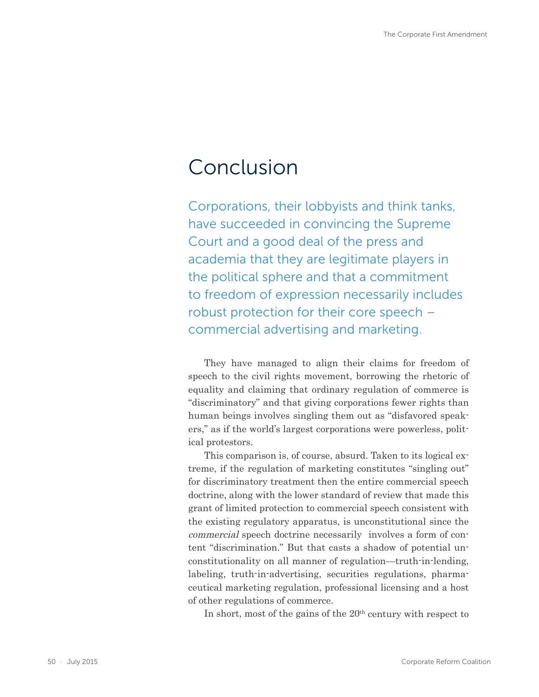### Conclusion

Corporations, their lobbyists and think tanks, have succeeded in convincing the Supreme Court and a good deal of the press and academia that they are legitimate players in the political sphere and that a commitment to freedom of expression necessarily includes robust protection for their core speech – commercial advertising and marketing.

They have managed to align their claims for freedom of speech to the civil rights movement, borrowing the rhetoric of equality and claiming that ordinary regulation of commerce is "discriminatory" and that giving corporations fewer rights than human beings involves singling them out as "disfavored speakers," as if the world's largest corporations were powerless, political protestors.

This comparison is, of course, absurd. Taken to its logical extreme, if the regulation of marketing constitutes "singling out" for discriminatory treatment then the entire commercial speech doctrine, along with the lower standard of review that made this grant of limited protection to commercial speech consistent with the existing regulatory apparatus, is unconstitutional since the commercial speech doctrine necessarily involves a form of content "discrimination." But that casts a shadow of potential unconstitutionality on all manner of regulation—truth-in-lending, labeling, truth-in-advertising, securities regulations, pharmaceutical marketing regulation, professional licensing and a host of other regulations of commerce.

In short, most of the gains of the  $20<sup>th</sup>$  century with respect to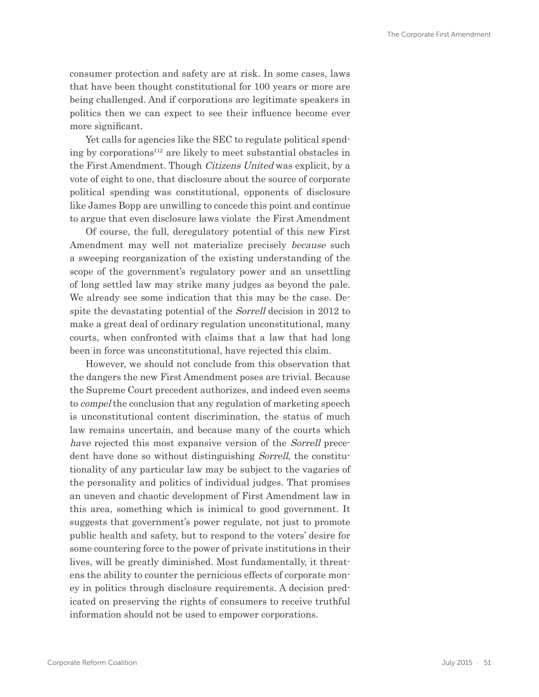<span id="page-50-0"></span>consumer protection and safety are at risk. In some cases, laws that have been thought constitutional for 100 years or more are being challenged. And if corporations are legitimate speakers in politics then we can expect to see their influence become ever more significant.

Yet calls for agencies like the SEC to regulate political spending by corporations112 are likely to meet substantial obstacles in the First Amendment. Though Citizens United was explicit, by a vote of eight to one, that disclosure about the source of corporate political spending was constitutional, opponents of disclosure like James Bopp are unwilling to concede this point and continue to argue that even disclosure laws violate the First Amendment

Of course, the full, deregulatory potential of this new First Amendment may well not materialize precisely because such a sweeping reorganization of the existing understanding of the scope of the government's regulatory power and an unsettling of long settled law may strike many judges as beyond the pale. We already see some indication that this may be the case. Despite the devastating potential of the Sorrell decision in 2012 to make a great deal of ordinary regulation unconstitutional, many courts, when confronted with claims that a law that had long been in force was unconstitutional, have rejected this claim.

However, we should not conclude from this observation that the dangers the new First Amendment poses are trivial. Because the Supreme Court precedent authorizes, and indeed even seems to compel the conclusion that any regulation of marketing speech is unconstitutional content discrimination, the status of much law remains uncertain, and because many of the courts which have rejected this most expansive version of the *Sorrell* precedent have done so without distinguishing Sorrell, the constitutionality of any particular law may be subject to the vagaries of the personality and politics of individual judges. That promises an uneven and chaotic development of First Amendment law in this area, something which is inimical to good government. It suggests that government's power regulate, not just to promote public health and safety, but to respond to the voters' desire for some countering force to the power of private institutions in their lives, will be greatly diminished. Most fundamentally, it threatens the ability to counter the pernicious effects of corporate money in politics through disclosure requirements. A decision predicated on preserving the rights of consumers to receive truthful information should not be used to empower corporations.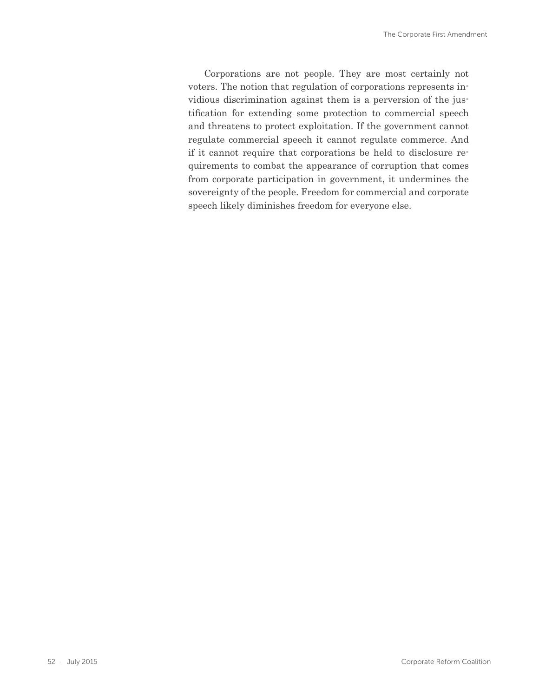Corporations are not people. They are most certainly not voters. The notion that regulation of corporations represents invidious discrimination against them is a perversion of the justification for extending some protection to commercial speech and threatens to protect exploitation. If the government cannot regulate commercial speech it cannot regulate commerce. And if it cannot require that corporations be held to disclosure requirements to combat the appearance of corruption that comes from corporate participation in government, it undermines the sovereignty of the people. Freedom for commercial and corporate speech likely diminishes freedom for everyone else.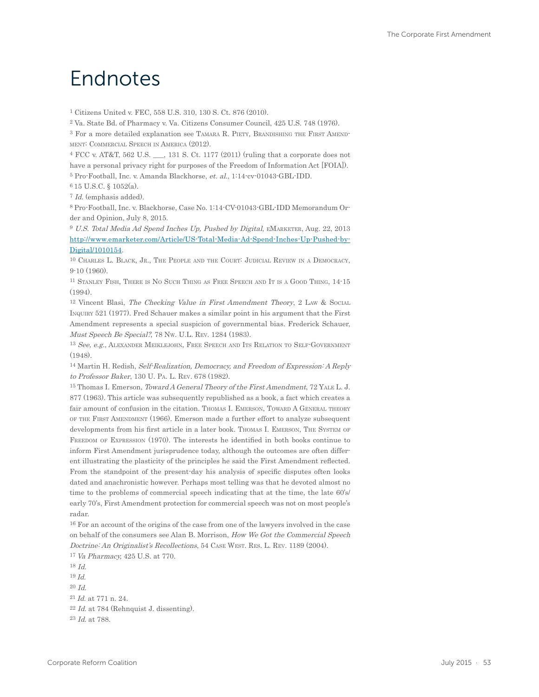### Endnotes

1 Citizens United v. FEC, 558 U.S. 310, 130 S. Ct. 876 (2010).

2 Va. State Bd. of Pharmacy v. Va. Citizens Consumer Council, 425 U.S. 748 (1976).

<sup>3</sup> For a more detailed explanation see TAMARA R. PIETY, BRANDISHING THE FIRST AMENDment: Commercial Speech in America (2012).

4 FCC v. AT&T, 562 U.S. \_\_\_, 131 S. Ct. 1177 (2011) (ruling that a corporate does not have a personal privacy right for purposes of the Freedom of Information Act [FOIA]). 5 Pro-Football, Inc. v. Amanda Blackhorse, et. al., 1:14-cv-01043-GBL-IDD.

6 15 U.S.C. § 1052(a).

7 Id. (emphasis added).

8 Pro-Football, Inc. v. Blackhorse, Case No. 1:14-CV-01043-GBL-IDD Memorandum Order and Opinion, July 8, 2015.

<sup>9</sup> U.S. Total Media Ad Spend Inches Up, Pushed by Digital, EMARKETER, Aug. 22, 2013 [http://www.emarketer.com/Article/US-Total-Media-Ad-Spend-Inches-Up-Pushed-by-](http://www.emarketer.com/Article/US-Total-Media-Ad-Spend-Inches-Up-Pushed-by-Digital/1010154)[Digital/1010154](http://www.emarketer.com/Article/US-Total-Media-Ad-Spend-Inches-Up-Pushed-by-Digital/1010154).

10 Charles L. Black, Jr., The People and the Court: Judicial Review in <sup>a</sup> Democracy, 9-10 (1960).

11 Stanley Fish, There is No Such Thing as Free Speech and It is <sup>a</sup> Good Thing, 14-15 (1994).

<sup>12</sup> Vincent Blasi, *The Checking Value in First Amendment Theory*, 2 Law & Social Inquiry 521 (1977). Fred Schauer makes a similar point in his argument that the First Amendment represents a special suspicion of governmental bias. Frederick Schauer, Must Speech Be Special?, 78 Nw. U.L. Rev. 1284 (1983).

<sup>13</sup> See, e.g., ALEXANDER MEIKLEJOHN, FREE SPEECH AND ITS RELATION TO SELF-GOVERNMENT (1948).

14 Martin H. Redish, Self-Realization, Democracy, and Freedom of Expression: A Reply to Professor Baker, 130 U. Pa. L. Rev. 678 (1982).

15 Thomas I. Emerson, Toward A General Theory of the First Amendment, 72 Yale L. J. 877 (1963). This article was subsequently republished as a book, a fact which creates a fair amount of confusion in the citation. Thomas I. EMERSON, TOWARD A GENERAL THEORY of the First Amendment (1966). Emerson made a further effort to analyze subsequent developments from his first article in a later book. THOMAS I. EMERSON, THE SYSTEM OF FREEDOM OF EXPRESSION (1970). The interests he identified in both books continue to inform First Amendment jurisprudence today, although the outcomes are often different illustrating the plasticity of the principles he said the First Amendment reflected. From the standpoint of the present-day his analysis of specific disputes often looks dated and anachronistic however. Perhaps most telling was that he devoted almost no time to the problems of commercial speech indicating that at the time, the late 60's/ early 70's, First Amendment protection for commercial speech was not on most people's radar.

16 For an account of the origins of the case from one of the lawyers involved in the case on behalf of the consumers see Alan B. Morrison, How We Got the Commercial Speech Doctrine: An Originalist's Recollections, 54 CASE WEST, RES. L. REV. 1189 (2004).

17 Va Pharmacy, 425 U.S. at 770.

18 Id.

 $19$  *Id.* 

 $20$  *Id.* 

21 Id. at 771 n. 24.

 $22$  Id. at 784 (Rehnquist J. dissenting).

23 Id. at 788.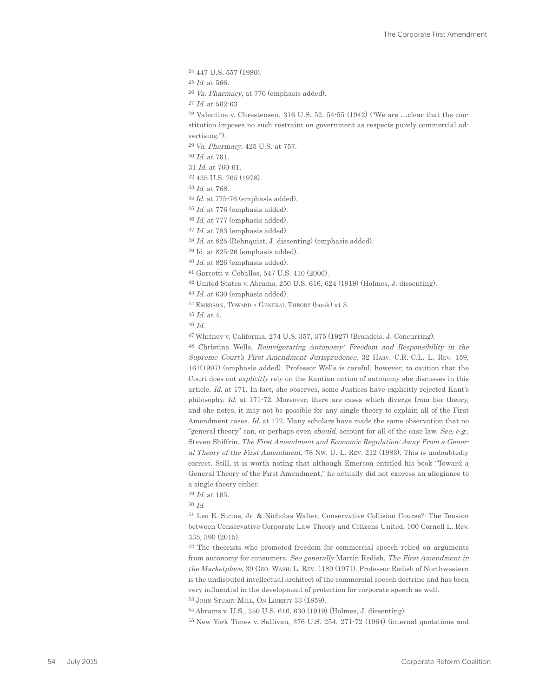24 447 U.S. 557 (1980). 25 Id. at 566. 26 Va. Pharmacy, at 776 (emphasis added). 27 Id. at 562-63 28 Valentine v. Chrestensen, 316 U.S. 52, 54-55 (1942) ("We are …clear that the constitution imposes no such restraint on government as respects purely commercial advertising."). 29 Va. Pharmacy, 425 U.S. at 757. 30 Id. at 761. 31 Id. at 760-61. 32 435 U.S. 765 (1978). 33 Id. at 768. 34 Id. at 775-76 (emphasis added). 35 Id. at 776 (emphasis added). 36 Id. at 777 (emphasis added). 37 Id. at 783 (emphasis added). 38 Id. at 825 (Rehnquist, J. dissenting) (emphasis added). 39 Id. at 825-26 (emphasis added). 40 Id. at 826 (emphasis added). 41 Garcetti v. Ceballos, 547 U.S. 410 (2006). 42 United States v. Abrams, 250 U.S. 616, 624 (1919) (Holmes, J. dissenting). 43 Id. at 630 (emphasis added). 44 Emerson, Toward <sup>a</sup> General Theory (book) at 3. 45 Id. at 4. 46 Id. 47 Whitney v. California, 274 U.S. 357, 375 (1927) (Brandeis, J. Concurring). 48 Christina Wells, Reinvigorating Autonomy: Freedom and Responsibility in the Supreme Court's First Amendment Jurisprudence, 32 Harv. C.R.-C.L. L. Rev. 159, 161(1997) (emphasis added). Professor Wells is careful, however, to caution that the Court does not explicitly rely on the Kantian notion of autonomy she discusses in this article. Id. at 171. In fact, she observes, some Justices have explicitly rejected Kant's philosophy. Id. at 171-72. Moreover, there are cases which diverge from her theory, and she notes, it may not be possible for any single theory to explain all of the First Amendment cases. Id. at 172. Many scholars have made the same observation that no "general theory" can, or perhaps even should, account for all of the case law. See, e.g., Steven Shiffrin, The First Amendment and Economic Regulation: Away From a General Theory of the First Amendment, 78 Nw. U. L. Rev. 212 (1983). This is undoubtedly correct. Still, it is worth noting that although Emerson entitled his book "Toward a

General Theory of the First Amendment," he actually did not express an allegiance to a single theory either.

49 Id. at 165.

50 Id.

51 Leo E. Strine, Jr. & Nicholas Walter, Conservative Collision Course?: The Tension between Conservative Corporate Law Theory and Citizens United, 100 Cornell L. Rev. 335, 390 (2015).

52 The theorists who promoted freedom for commercial speech relied on arguments from autonomy for consumers. See generally Martin Redish, The First Amendment in the Marketplace, 39 Geo. Wash. L. Rev. 1189 (1971). Professor Redish of Northwestern is the undisputed intellectual architect of the commercial speech doctrine and has been very influential in the development of protection for corporate speech as well. 53 John Stuart Mill, On Liberty 33 (1859).

54 Abrams v. U.S., 250 U.S. 616, 630 (1919) (Holmes, J. dissenting).

55 New York Times v. Sullivan, 376 U.S. 254, 271-72 (1964) (internal quotations and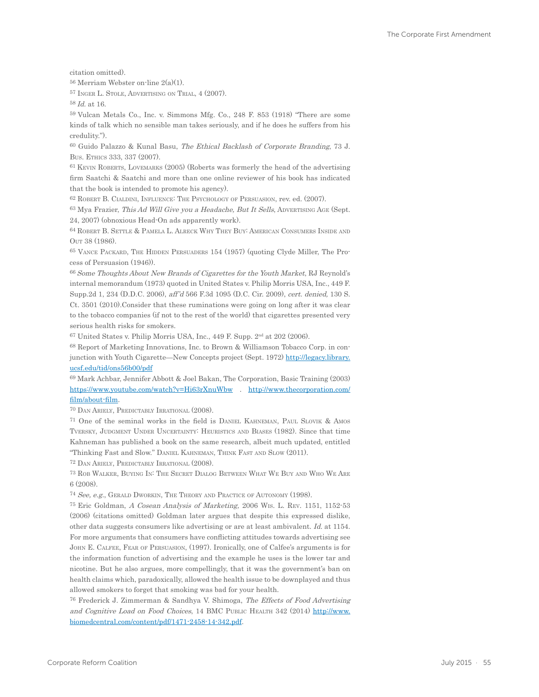citation omitted).

56 Merriam Webster on-line 2(a)(1).

57 Inger L. Stole, Advertising on Trial, 4 (2007).

58 Id. at 16.

59 Vulcan Metals Co., Inc. v. Simmons Mfg. Co., 248 F. 853 (1918) "There are some kinds of talk which no sensible man takes seriously, and if he does he suffers from his credulity.").

60 Guido Palazzo & Kunal Basu, The Ethical Backlash of Corporate Branding, 73 J. Bus. Ethics 333, 337 (2007).

61 Kevin Roberts, Lovemarks (2005) (Roberts was formerly the head of the advertising firm Saatchi & Saatchi and more than one online reviewer of his book has indicated that the book is intended to promote his agency).

62 Robert B. Cialdini, Influence: The Psychology of Persuasion, rev. ed. (2007).

 $63$  Mya Frazier, This Ad Will Give you a Headache, But It Sells, ADVERTISING AGE (Sept. 24, 2007) (obnoxious Head-On ads apparently work).

64 Robert B. Settle & Pamela L. Alreck Why They Buy: American Consumers Inside and Out 38 (1986).

65 Vance Packard, The Hidden Persuaders 154 (1957) (quoting Clyde Miller, The Process of Persuasion (1946)).

66 Some Thoughts About New Brands of Cigarettes for the Youth Market, RJ Reynold's internal memorandum (1973) quoted in United States v. Philip Morris USA, Inc., 449 F. Supp.2d 1, 234 (D.D.C. 2006), aff'd 566 F.3d 1095 (D.C. Cir. 2009), cert. denied, 130 S. Ct. 3501 (2010).Consider that these ruminations were going on long after it was clear to the tobacco companies (if not to the rest of the world) that cigarettes presented very serious health risks for smokers.

 $67$  United States v. Philip Morris USA, Inc., 449 F. Supp.  $2<sup>nd</sup>$  at 202 (2006).

68 Report of Marketing Innovations, Inc. to Brown & Williamson Tobacco Corp. in conjunction with Youth Cigarette—New Concepts project (Sept. 1972) [http://legacy.library.](http://legacy.library.ucsf.edu/tid/ons56b00/pdf) [ucsf.edu/tid/ons56b00/pdf](http://legacy.library.ucsf.edu/tid/ons56b00/pdf)

69 Mark Achbar, Jennifer Abbott & Joel Bakan, The Corporation, Basic Training (2003) <https://www.youtube.com/watch?v=Hi63rXnuWbw>. [http://www.thecorporation.com/](http://www.thecorporation.com/film/about-film) [film/about-film](http://www.thecorporation.com/film/about-film).

70 Dan Ariely, Predictably Irrational (2008).

71 One of the seminal works in the field is Daniel Kahneman, Paul Slovik & Amos Tversky, Judgment Under Uncertainty: Heuristics and Biases (1982). Since that time Kahneman has published a book on the same research, albeit much updated, entitled "Thinking Fast and Slow." Daniel Kahneman, Think Fast and Slow (2011).

72 Dan Ariely, Predictably Irrational (2008).

73 Rob Walker, Buying In: The Secret Dialog Between What We Buy and Who We Are 6 (2008).

74 See, e.g., Gerald Dworkin, The Theory and Practice of Autonomy (1998).

75 Eric Goldman, A Cosean Analysis of Marketing, 2006 Wis. L. Rev. 1151, 1152-53 (2006) (citations omitted) Goldman later argues that despite this expressed dislike, other data suggests consumers like advertising or are at least ambivalent. Id. at 1154. For more arguments that consumers have conflicting attitudes towards advertising see John E. Calfee, Fear of Persuasion, (1997). Ironically, one of Calfee's arguments is for the information function of advertising and the example he uses is the lower tar and nicotine. But he also argues, more compellingly, that it was the government's ban on health claims which, paradoxically, allowed the health issue to be downplayed and thus allowed smokers to forget that smoking was bad for your health.

76 Frederick J. Zimmerman & Sandhya V. Shimoga, The Effects of Food Advertising and Cognitive Load on Food Choices, 14 BMC PUBLIC HEALTH 342 (2014) [http://www.](http://www.biomedcentral.com/content/pdf/1471-2458-14-342.pdf) [biomedcentral.com/content/pdf/1471-2458-14-342.pdf.](http://www.biomedcentral.com/content/pdf/1471-2458-14-342.pdf)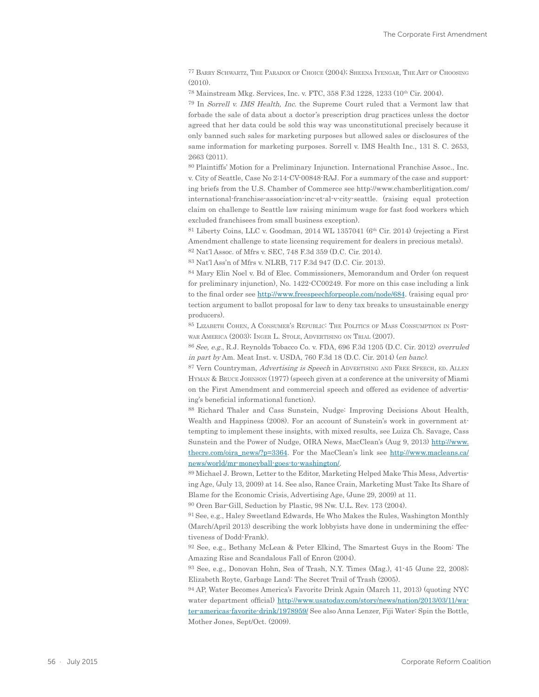77 Barry Schwartz, The Paradox of Choice (2004); Sheena Iyengar, The Art of Choosing  $(2010).$ 

78 Mainstream Mkg. Services, Inc. v. FTC, 358 F.3d 1228, 1233 (10th Cir. 2004).

79 In Sorrell v. IMS Health, Inc. the Supreme Court ruled that a Vermont law that forbade the sale of data about a doctor's prescription drug practices unless the doctor agreed that her data could be sold this way was unconstitutional precisely because it only banned such sales for marketing purposes but allowed sales or disclosures of the same information for marketing purposes. Sorrell v. IMS Health Inc., 131 S. C. 2653, 2663 (2011).

80 Plaintiffs' Motion for a Preliminary Injunction. International Franchise Assoc., Inc. v. City of Seattle, Case No 2:14-CV-00848-RAJ. For a summary of the case and supporting briefs from the U.S. Chamber of Commerce see [http://www.chamberlitigation.com/](http://www.chamberlitigation.com/international-franchise-association-inc-et-al-v-city-seattle) [international-franchise-association-inc-et-al-v-city-seattle.](http://www.chamberlitigation.com/international-franchise-association-inc-et-al-v-city-seattle) (raising equal protection claim on challenge to Seattle law raising minimum wage for fast food workers which excluded franchisees from small business exception).

 $81$  Liberty Coins, LLC v. Goodman, 2014 WL 1357041 ( $6<sup>th</sup>$  Cir. 2014) (rejecting a First Amendment challenge to state licensing requirement for dealers in precious metals). 82 Nat'l Assoc. of Mfrs v. SEC, 748 F.3d 359 (D.C. Cir. 2014).

83 Nat'l Ass'n of Mfrs v. NLRB, 717 F.3d 947 (D.C. Cir. 2013).

84 Mary Elin Noel v. Bd of Elec. Commissioners, Memorandum and Order (on request for preliminary injunction), No. 1422-CC00249. For more on this case including a link to the final order see <http://www.freespeechforpeople.com/node/684>. (raising equal protection argument to ballot proposal for law to deny tax breaks to unsustainable energy producers).

85 Lizabeth Cohen, A Consumer's Republic: The Politics of Mass Consumption in Postwar America (2003); Inger L. Stole, Advertising on Trial (2007).

86 See, e.g., R.J. Reynolds Tobacco Co. v. FDA, 696 F.3d 1205 (D.C. Cir. 2012) overruled in part by Am. Meat Inst. v. USDA, 760 F.3d 18 (D.C. Cir. 2014) (en banc).

87 Vern Countryman, Advertising is Speech in ADVERTISING AND FREE SPEECH, ED. ALLEN Hyman & Bruce Johnson (1977) (speech given at a conference at the university of Miami on the First Amendment and commercial speech and offered as evidence of advertising's beneficial informational function).

88 Richard Thaler and Cass Sunstein, Nudge: Improving Decisions About Health, Wealth and Happiness (2008). For an account of Sunstein's work in government attempting to implement these insights, with mixed results, see Luiza Ch. Savage, Cass Sunstein and the Power of Nudge, OIRA News, MacClean's (Aug 9, 2013) [http://www.](http://www.thecre.com/oira_news/?p=3364) [thecre.com/oira\\_news/?p=3364](http://www.thecre.com/oira_news/?p=3364). For the MacClean's link see [http://www.macleans.ca/](http://www.macleans.ca/news/world/mr-moneyball-goes-to-washington/) [news/world/mr-moneyball-goes-to-washington/.](http://www.macleans.ca/news/world/mr-moneyball-goes-to-washington/)

89 Michael J. Brown, Letter to the Editor, Marketing Helped Make This Mess, Advertising Age, (July 13, 2009) at 14. See also, Rance Crain, Marketing Must Take Its Share of Blame for the Economic Crisis, Advertising Age, (June 29, 2009) at 11.

90 Oren Bar-Gill, Seduction by Plastic, 98 Nw. U.L. Rev. 173 (2004).

91 See, e.g., Haley Sweetland Edwards, He Who Makes the Rules, Washington Monthly (March/April 2013) describing the work lobbyists have done in undermining the effectiveness of Dodd-Frank).

92 See, e.g., Bethany McLean & Peter Elkind, The Smartest Guys in the Room: The Amazing Rise and Scandalous Fall of Enron (2004).

93 See, e.g., Donovan Hohn, Sea of Trash, N.Y. Times (Mag.), 41-45 (June 22, 2008); Elizabeth Royte, Garbage Land: The Secret Trail of Trash (2005).

94 AP, Water Becomes America's Favorite Drink Again (March 11, 2013) (quoting NYC water department official) [http://www.usatoday.com/story/news/nation/2013/03/11/wa](http://www.usatoday.com/story/news/nation/2013/03/11/water-americas-favorite-drink/1978959/)[ter-americas-favorite-drink/1978959/](http://www.usatoday.com/story/news/nation/2013/03/11/water-americas-favorite-drink/1978959/) See also Anna Lenzer, Fiji Water: Spin the Bottle, Mother Jones, Sept/Oct. (2009).